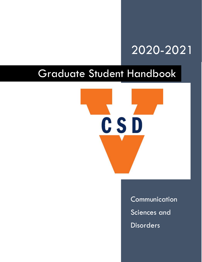# 2020-2021

# Graduate Student Handbook



Communication Sciences and Disorders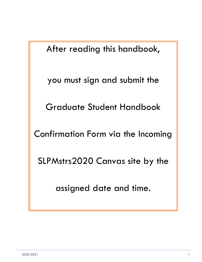After reading this handbook,

you must sign and submit the

Graduate Student Handbook

Confirmation Form via the Incoming

SLPMstrs2020 Canvas site by the

assigned date and time.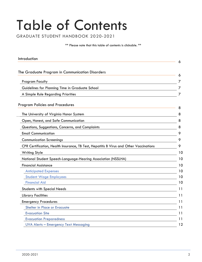# Table of Contents

GRADUATE STUDENT HANDBOOK 2020-2021

\*\* Please note that this table of contents is clickable. \*\*

<span id="page-2-1"></span><span id="page-2-0"></span>

| Introduction                                                                           | 6  |
|----------------------------------------------------------------------------------------|----|
|                                                                                        |    |
| The Graduate Program in Communication Disorders                                        | 6  |
| <b>Program Faculty</b>                                                                 |    |
| Guidelines for Planning Time in Graduate School                                        | 7  |
| A Simple Rule Regarding Priorities                                                     | 7  |
| <b>Program Policies and Procedures</b>                                                 | 8  |
| The University of Virginia Honor System                                                | 8  |
| Open, Honest, and Safe Communication                                                   | 8  |
| Questions, Suggestions, Concerns, and Complaints                                       | 8  |
| <b>Email Communication</b>                                                             | 9  |
| <b>Communication Screenings</b>                                                        | 9  |
| CPR Certification, Health Insurance, TB Test, Hepatitis B Virus and Other Vaccinations | 9  |
| <b>Writing Style</b>                                                                   | 10 |
| National Student Speech-Language-Hearing Association (NSSLHA)                          | 10 |
| <b>Financial Assistance</b>                                                            | 10 |
| <b>Anticipated Expenses</b>                                                            | 10 |
| <b>Student Wage Employees</b>                                                          | 10 |
| <b>Financial Aid</b>                                                                   | 10 |
| <b>Students with Special Needs</b>                                                     | 11 |
| <b>Library Facilities</b>                                                              | 11 |
| <b>Emergency Procedures</b>                                                            | 11 |
| Shelter in Place or Evacuate                                                           | 11 |
| <b>Evacuation Site</b>                                                                 | 11 |
| <b>Evacuation Preparedness</b>                                                         | 11 |
| <b>UVA Alerts - Emergency Text Messaging</b>                                           | 12 |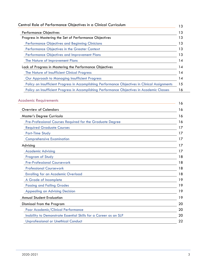| Central Role of Performance Objectives in a Clinical Curriculum                                 |  |
|-------------------------------------------------------------------------------------------------|--|
| <b>Performance Objectives</b>                                                                   |  |
| Progress in Mastering the Set of Performance Objectives                                         |  |
| <b>Performance Objectives and Beginning Clinicians</b>                                          |  |
| Performance Objectives in the Greater Context                                                   |  |
| Performance Objectives and Improvement Plans                                                    |  |
| The Nature of Improvement Plans                                                                 |  |
| Lack of Progress in Mastering the Performance Objectives                                        |  |
| The Nature of Insufficient Clinical Progress                                                    |  |
| Our Approach to Managing Insufficient Progress                                                  |  |
| Policy on Insufficient Progress in Accomplishing Performance Objectives in Clinical Assignments |  |
| Policy on Insufficient Progress in Accomplishing Performance Objectives in Academic Classes     |  |

# [Academic Requirements](#page-16-1)

| ירממפוווור ווכלמון בווופוווא                                     | 16 |
|------------------------------------------------------------------|----|
| <b>Overview of Calendars</b>                                     | 16 |
| Master's Degree Curricula                                        | 16 |
| Pre-Professional Courses Required for the Graduate Degree        | 16 |
| <b>Required Graduate Courses</b>                                 | 17 |
| <b>Part-Time Study</b>                                           | 17 |
| <b>Comprehensive Examination</b>                                 | 17 |
| Advising                                                         | 17 |
| <b>Academic Advising</b>                                         | 17 |
| <b>Program of Study</b>                                          | 18 |
| <b>Pre-Professional Coursework</b>                               | 18 |
| <b>Professional Coursework</b>                                   | 18 |
| <b>Enrolling for an Academic Overload</b>                        | 18 |
| A Grade of Incomplete                                            | 19 |
| <b>Passing and Failing Grades</b>                                | 19 |
| <b>Appealing an Advising Decision</b>                            | 19 |
| <b>Annual Student Evaluation</b>                                 | 19 |
| Dismissal from the Program                                       | 20 |
| Poor Academic/Clinical Performance                               | 20 |
| Inability to Demonstrate Essential Skills for a Career as an SLP | 20 |
| <b>Unprofessional or Unethical Conduct</b>                       | 22 |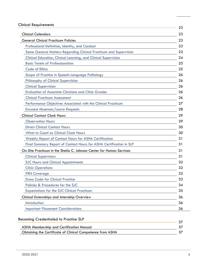# [Clinical Requirements](#page-23-0)

| unnuu neyunemems                                                       | 23 |
|------------------------------------------------------------------------|----|
| <b>Clinical Calendars</b>                                              | 23 |
| <b>General Clinical Practicum Policies</b>                             | 23 |
| Professional Definition, Identity, and Conduct                         | 23 |
| Some General Matters Regarding Clinical Practicum and Supervision      | 23 |
| <b>Clinical Education, Clinical Learning, and Clinical Supervision</b> | 24 |
| <b>Basic Tenets of Professionalism</b>                                 | 25 |
| <b>Code of Ethics</b>                                                  | 25 |
| Scope of Practice in Speech-Language Pathology                         | 26 |
| <b>Philosophy of Clinical Supervision</b>                              | 26 |
| <b>Clinical Supervision</b>                                            | 26 |
| <b>Evaluation of Associate Clinicians and Clinic Grades</b>            | 26 |
| <b>Clinical Practicum Assessment</b>                                   | 26 |
| Performance Objectives Associated with the Clinical Practicum          | 27 |
| <b>Excused Absences/Leave Requests</b>                                 | 28 |
| <b>Clinical Contact Clock Hours</b>                                    | 29 |
| <b>Observation Hours</b>                                               | 29 |
| <b>Direct Clinical Contact Hours</b>                                   | 30 |
| <b>What to Count as Clinical Clock Hours</b>                           | 30 |
| Weekly Report of Contact Hours for ASHA Certification                  | 31 |
| Final Summary Report of Contact Hours for ASHA Certification in SLP    | 31 |
| On-Site Practicum in the Sheila C. Johnson Center for Human Services   | 31 |
| <b>Clinical Supervisors</b>                                            | 31 |
| <b>SJC Hours and Clinical Appointments</b>                             | 32 |
| <b>Clinic Operations</b>                                               | 32 |
| <b>PRN Coverage</b>                                                    | 32 |
| <b>Dress Code for Clinical Practice</b>                                | 33 |
| Policies & Procedures for the SJC                                      | 34 |
| <b>Expectations for the SJC Clinical Practicum</b>                     | 35 |
| Clinical Externships and Internship Overview                           | 36 |
| Introduction                                                           | 36 |
| <b>Important Placement Considerations</b>                              | 36 |

| Becoming Credentialed to Practice SLP                      |  |
|------------------------------------------------------------|--|
| ASHA Membership and Certification Manual                   |  |
| Obtaining the Certificate of Clinical Competence from ASHA |  |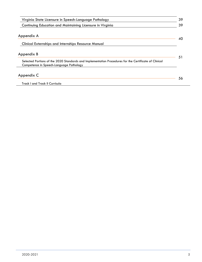| Virginia State Licensure in Speech-Language Pathology                                                                                            | 39 |
|--------------------------------------------------------------------------------------------------------------------------------------------------|----|
| Continuing Education and Maintaining Licensure in Virginia                                                                                       | 39 |
| Appendix A                                                                                                                                       | 40 |
| <b>Clinical Externships and Internships Resource Manual</b>                                                                                      |    |
| Appendix B                                                                                                                                       | 51 |
| Selected Portions of the 2020 Standards and Implementation Procedures for the Certificate of Clinical<br>Competence in Speech-Language Pathology |    |
| Appendix C                                                                                                                                       | 56 |
| Track I and Track II Curricula                                                                                                                   |    |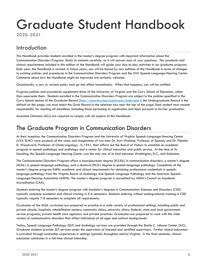# Graduate Student Handbook

2020-2021

# <span id="page-6-0"></span>Introduction

This Handbook provides students enrolled in the master's degree program with important information about the Communication Disorders Program. Study its contents carefully, as it will answer most of your questions. The academic and clinical requirements included in this edition of the Handbook will guide your day-to-day activities in our graduate program. Each year, the Handbook is revised. In future years, you will be bound by new editions of the Handbook in terms of changes to existing policies and procedures in the Communication Disorders Program and the UVA Speech-Language-Hearing Center. Comments about how the Handbook might be improved are certainly welcome.

Occasionally, a new or revised policy must go into effect immediately. When that happens, you will be notified.

Program policies and procedures supplement those of the University of Virginia and the Curry School of Education, rather than supersede them. Students enrolled in the Communication Disorders Program are subject to the policies specified in the Curry School section of the Graduate Record [\(http://records.ureg.virginia.edu/index.php](http://records.ureg.virginia.edu/index.php) ); the Undergraduate Record is the default on this page; you must select the Grad Record in the selection box near the top of the page. Each student must assume responsibility for meeting all deadlines (including those pertaining to registration and fees) pursuant to his/her graduation.

Associate Clinicians (ACs) are required to comply with all aspects of this Handbook.

# <span id="page-6-1"></span>[The Graduate Program in Communication Disorders](#page-2-0)

At their inception, the Communication Disorders Program and the University of Virginia Speech-Language-Hearing Center (UVA SLHC) were products of the vision and imagination of two men: Dr. Karl Wallace, Professor of Speech, and Dr. Fletcher D. Woodward, Professor of Otolaryngology. In 1941, their efforts led the Board of Visitors to establish an academic program in speech pathology and audiology and a center for clinical instruction and public service. At the time of its founding, the Speech-Language-Hearing Center was the only one of its kind between Washington, D.C., and Alabama.

The Communication Disorders Program offers a baccalaureate degree (B.S.Ed.) in communication disorders, a master's degree (M.Ed.) in speech-language pathology, and a doctoral (Ph.D.) degree in speech-language pathology. Completion of the master's degree program fulfills academic and clinical requirements for obtaining professional credentials in speechlanguage pathology from the Virginia Board of Audiology and Speech-Language Pathology and the American Speech-Language-Hearing Association (ASHA). The master's degree program is accredited by ASHA's Council on Academic Accreditation (CAA).

Students entering the master's degree program with bachelor's degrees in Communication Sciences and Disorders (CSD) typically complete academic and clinical training in 5-6 semesters. Students entering without undergraduate training in CSD typically require 7-8 semesters to complete all requirements.

Graduates of the M.Ed. curriculum are prepared to practice in a wide variety of professional settings, including public and private schools; hospitals; rehabilitation centers; community clinics; university clinics; federal, state and local government service programs; private health care agencies; and private practices. Graduates are prepared to work with the wide variety of communicative disorders that affect individuals of all ages and cultural backgrounds.

Today, Speech Language Pathology (SLP) and Audiology services are provided through the Sheila C. Johnson Center (SJC). Graduate students provide SLP services under the supervision of licensed and certified supervisors. Further clinical education is provided through externship experiences in settings typically throughout central Virginia. In the final semester, clinical education culminates in a full-time clinical internship.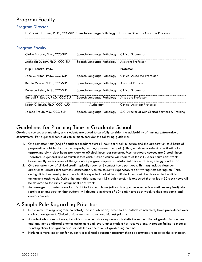# <span id="page-7-0"></span>Program Faculty

## Program Director

LaVae M. Hoffman, Ph.D., CCC-SLP Speech-Language Pathology Program Director/Associate Professor

## Program Faculty

| Claire Barbao, M.A., CCC-SLP     | Speech-Language Pathology | <b>Clinical Supervisor</b>                       |
|----------------------------------|---------------------------|--------------------------------------------------|
| Michaela DuBay, Ph.D., CCC-SLP   | Speech-Language Pathology | <b>Assistant Professor</b>                       |
| Filip T. Loncke, Ph.D.           |                           | Professor                                        |
| Jane C. Hilton, Ph.D., CCC-SLP   | Speech-Language Pathology | Clinical Associate Professor                     |
| Kazlin Mason, Ph.D, CCC-SLP      | Speech-Language Pathology | <b>Assistant Professor</b>                       |
| Rebecca Rehm, M.S., CCC-SLP      | Speech-Language Pathology | <b>Clinical Supervisor</b>                       |
| Randall R. Robey, Ph.D., CCC-SLP | Speech-Language Pathology | Associate Professor                              |
| Kristin C. Roush, Ph.D., CCC-AUD | Audiology                 | <b>Clinical Assistant Professor</b>              |
| Jaimee Traub, M.S., CCC-SLP      | Speech-Language Pathology | SJC Director of SLP Clinical Services & Training |

# <span id="page-7-1"></span>Guidelines for Planning Time in Graduate School

Graduate courses are intensive, and students are asked to carefully consider the advisability of making extracurricular commitments. For a general sense of commitment, consider the following guidelines:

- 1. One semester hour (s.h.) of academic credit requires 1 hour per week in lecture and the expectation of 3 hours of preparation outside of class (i.e., reports, reading, presentations, etc.). Thus, a 1-hour academic credit will take approximately 4 clock hours per week or 60 clock hours per semester. Most graduate courses are 3 credit hours. Therefore, a general rule of thumb is that each 3 credit course will require at least 12 clock hours each week. Consequently, every week of the graduate program requires a substantial amount of time, energy, and effort.
- 2. One semester hour of clinical credit typically requires 3 contact hours per week. This may include classroom experience, direct client services, consultation with the student's supervisor, report writing, test scoring, etc. Thus, during clinical externship (6 s.h. each), it is expected that at least 18 clock hours will be devoted to the clinical assignment each week. During the internship semester (12 credit hours), it is expected that at least 36 clock hours will be devoted to the clinical assignment each week.
- 3. An average graduate course load is 15 to 17 credit hours (although a greater number is sometimes required) which results in an expectation that students will devote a minimum of 60 to 68 hours each week to their academic and clinical courses.

# <span id="page-7-2"></span>A Simple Rule Regarding Priorities

- In a clinical training program, no activity, be it a job or any other sort of outside commitment, takes precedence over a clinical assignment. Clinical assignments must command highest priority.
- A student who does not accept a clinic assignment (for any reason), forfeits the expectation of graduating on time and may not be offered another assignment until every other student has received one. A student failing to meet a standing clinical obligation also forfeits the expectation of graduating on time.
- Nothing is more important for students in a clinical education program than opportunities to practice the profession.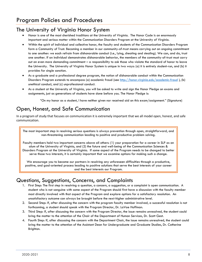# <span id="page-8-1"></span><span id="page-8-0"></span>The University of Virginia Honor System

- Honor is one of the most cherished traditions at the University of Virginia. The Honor Code is an enormously important and serious matter within the Communication Disorders Program at the University of Virginia.
- Within the spirit of individual and collective honor, the faculty and students of the Communication Disorders Program form a Community of Trust. Becoming a member in our community-of-trust means carrying out an ongoing commitment to one another: we each refrain from dishonorable conduct (i.e., lying, cheating and stealing). We can, and do, trust one another. If an individual demonstrates dishonorable behavior, the members of the community-of-trust must carry out an even more demanding commitment – a responsibility to ask those who violate the standard of honor to leave the University. The University of Virginia Honor System is unique in two ways: (a) it is entirely student-run, and (b) it provides for single sanction.
- As a graduate and a professional degree program, the notion of dishonorable conduct within the Communication Disorders Program extends to encompass (a) academic fraud (see<http://honor.virginia.edu/academic-fraud> ), (b) unethical conduct, and (c) unprofessional conduct.
- As a student at the University of Virginia, you will be asked to write and sign the Honor Pledge on exams and assignments, just as generations of students have done before you. The Honor Pledge is:

"On my honor as a student, I have neither given nor received aid on this exam/assignment." (Signature)

# <span id="page-8-2"></span>Open, Honest, and Safe Communication

In a program of study that focuses on communication it is extremely important that we all model open, honest, and safe communication.

The most important step in resolving serious questions is always prevention through open, straightforward, and non-threatening communication leading to positive and productive problem solving.

Faculty members hold two important concerns above all others: (1) your preparation for a career in SLP as an alum of the University of Virginia, and (2) the future and well-being of the Communication Sciences & Disorders Program at the University of Virginia. If some aspect of the Program needs to be changed to better serve those two interests, it is certainly important that we examine options for making such a change.

We encourage you to become our partners in resolving any unforeseen difficulties through a productive, positive, and goal-oriented process leading to positive solutions that serve the best interests of your career and the best interests our Program.

# <span id="page-8-3"></span>Questions, Suggestions, Concerns, and Complaints

- 1. First Step: The first step in resolving a question, a concern, a suggestion, or a complaint is open communication. A student who is not sanguine with some aspect of the Program should first have a discussion with the faculty member most directly involved with that aspect of the Program and explore options for a satisfactory resolution. An unsatisfactory outcome can always be brought before the next-higher administrative level.
- 2. Second Step: If, after discussing the concern with the program faculty member involved, a successful resolution is not forthcoming, a student should speak with the Program Director, Dr. LaVae Hoffman.
- 3. Third Step: If, after discussing the concern with the Program Director, the issue remains unresolved, the student could bring the matter to the attention of the Chair of the Department of Human Services, Dr. Scott Gest.
- 4. Fourth Step: If, after discussing the concern with the Department Chair, the issue remains unresolved, the student could bring the matter to the attention of the Assistant Dean for Undergraduate and Graduate Studies, Dr. Catherine Brighton.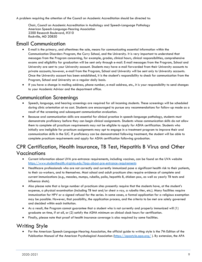A problem requiring the attention of the Council on Academic Accreditation should be directed to:

Chair, Council on Academic Accreditation in Audiology and Speech-Language Pathology American Speech-Language-Hearing Association 2200 Research Boulevard, #310 Rockville, MD 20850

# <span id="page-9-0"></span>Email Communication

- E-mail is the primary, and oftentimes the sole, means for communicating essential information within the Communication Disorders Program, the Curry School, and the University. It is very important to understand that messages from the Program concerning, for example, grades, clinical hours, clinical responsibilities, comprehensive exams and eligibility for graduation will be sent only through e-mail. E-mail messages from the Program, School and University are sent to your University account. Students may have e-mail forwarded from their University accounts to private accounts; however, e-mail from the Program, School and University will be sent only to University accounts. Once the University account has been established, it is the student's responsibility to check for communication from the Program, School and University on a regular daily basis.
- If you have a change in mailing address, phone number, e-mail address, etc., it is your responsibility to send changes to your Academic Advisor and the department office.

# <span id="page-9-1"></span>Communication Screenings

- Speech, language, and hearing screenings are required for all incoming students. These screenings will be scheduled during clinic orientation at no cost. Students are encouraged to pursue any recommendations for follow-up made as a result of the screening and subsequent communication evaluation.
- Because oral communication skills are essential for clinical practice in speech-language pathology, students must demonstrate proficiency before they can begin clinical assignments. Students whose communication skills do not allow them to complete all practicum requirements may not be eligible to apply for ASHA certification. Students who initially are ineligible for practicum assignments may opt to engage in a treatment program to improve their oral communication skills in the SJC. If proficiency can be demonstrated following treatment, the student will be able to complete practicum requirements and apply for ASHA certification following graduation.

# <span id="page-9-2"></span>CPR Certification, Health Insurance, TB Test, Hepatitis B Virus and Other Vaccinations

- Current information about UVA pre-entrance requirements, including vaccines, can be found on the UVA website <https://www.studenthealth.virginia.edu/faqs-about-pre-entrance-requirements>
- Healthcare professionals who are not correctly and currently immunized pose a significant health risk to their patients, to their co-workers, and to themselves. Most school and adult practicum sites require evidence of complete and current immunizations (e.g., measles, mumps, rubella, polio, hepatitis B, chicken pox, as well as yearly TB tests and influenza shots).
- Also please note that a large number of practicum sites presently require that the students have, at the student's expense, a physical examination (including TB test and/or chest x-ray, a rubella titer, etc.). Many facilities require immunization for HPV or a signed refusal for the series. In some cases, a formal application for a religious exemption may be possible. However, that possibility, the application process, and the criteria to be met are solely governed and decided within each institution.
- As a result, the Program cannot guarantee that a student who is not currently and properly immunized will (1) graduate on time, if at all, or (2) satisfy the ASHA minimum on clinical clock hours for certification.
- Finally, please note that proof of health insurance coverage is also required by some facilities.

# <span id="page-9-3"></span>Writing Style

• For the American Speech-Language-Hearing Association, the official guide to writing style is the 7th Edition of the Publication Manual of the American Psychological Association [\(https://apastyle.apa.org/](https://apastyle.apa.org/) ). By extension, the APA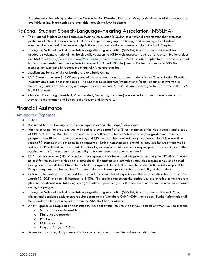Pub Manual is the writing guide for the Communication Disorders Program. Many basic elements of the Manual are available online. Hard copies are available through the UVA Bookstore.

# <span id="page-10-0"></span>National Student Speech-Language-Hearing Association (NSSLHA)

- The National Student Speech-Language-Hearing Association (NSSLHA) is a national organization that promotes professional interest among university students in speech-language pathology and audiology. Two kinds of memberships are available: membership in the national association and membership in the UVA Chapter.
- Joining the National Student Speech-Language-Hearing Association (NSSLHA) is a Program requirement for graduate students. A national membership allows access to ASHA web resources required for classes. National dues are \$60.00 at<https://www.nsslha.org/Membership/Join-or-Renew/> . Purchase *after* September 1 for the best deal. National membership enables students to receive ASHA and NSSLHA journals. Further, two years of NSSLHA membership substantially reduces the initial ASHA membership fee.
- Applications for national membership are available on-line.
- UVA Chapter dues are \$40.00 per year. All undergraduate and graduate students in the Communication Disorders Program are eligible for membership. The Chapter holds business/informational/social meetings, is involved in fundraising and charitable work, and organizes social events. All students are encouraged to participate in the UVA NSSHLA Chapter.
- Chapter officers (e.g., President, Vice President, Secretary, Treasurer) are elected each year. Faculty serves as Advisor to the chapter and liaison to the faculty and University.

# <span id="page-10-1"></span>Financial Assistance

### <span id="page-10-2"></span>Anticipated Expenses

- Tuition
- Room and Board. Housing is always an expense during internships/externships.
- Prior to entering the program, you will need to provide proof of a TB test, initiation of the Hep B series, and a copy of CPR certification. Both the TB test and the CPR will need to be repeated prior to your graduation from the program. The TB test is required annually, and CPR needs to be renewed every two years. Hep B is a one-time series of 3 shots so it will not need to be repeated. Both externships and internships may ask for proof that the TB test and CPR certification are current. Additionally, extern/internship sites may require proof of flu shot(s) and other vaccinations. It is the student's responsibility to ensure these have been completed.
- UVA Human Resources (HR) will conduct a background check for all students prior to entering the SJC clinic. These is no cost for the student for this background check. Externships and Internships may also require a new or updated background check different from the UVA HR background check. In this case, the student is financially responsible. Drug testing may also be required for externships and internships and is the responsibility of the student.
- Calipso is the on-line program used to track and document clinical experiences. There is a onetime fee of \$85. (On March 15, 2021 this fee will increase to \$100). This onetime fee covers the period you are enrolled in the program plus one additional year following your graduation. It provides you with documentation for your clinical hours earned during the program.
- Joining the National Student Speech-Language-Hearing Association (NSSLHA) is a Program requirement. Many clinical and academic assignments require access to the "Members Only" ASHA web pages. Further information will be provided to the incoming cohort from the NSSLHA Chapter officers.
- A few supplies are required of each student. These following items must be in your possession when you see a client.
	- o Stopwatch (or a stopwatch app)
	- o Digital audio recorder
	- o Pen Light
	- o USB thumb drive
	- o Lanyard for your ID Card
- Access to a car is regularly a necessity for commuting to and from internship/externship sites.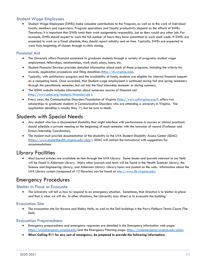# <span id="page-11-0"></span>Student Wage Employees

• Student Wage Employees (SWEs) make valuable contributions to the Program, as well as to the work of individual faculty members and supervisors. Program operations and faculty productivity depend on the efforts of SWEs. Therefore, it is important that SWEs treat their work assignments responsibly, just as they would any other job. For example, SWEs should expect to work the full number of hours they have committed to work each week. If SWEs are expected to work on a fixed schedule, they should report reliably and on time. Typically, SWEs are expected to work from beginning of classes through to clinic closing.

## <span id="page-11-1"></span>Financial Aid

- The University offers financial assistance to graduate students through a variety of programs: student wage employment, fellowships, assistantships, work-study plans, loans, etc.
- Student Financial Services provides detailed information about each of these programs, including the criteria for awards, application procedures and filing deadlines [\(http://sfs.virginia.edu\)](http://sfs.virginia.edu/).
- Typically, with satisfactory progress and the availability of funds, students are eligible for internal financial support on a competing basis. Once awarded, that Student-wage employment is continued during fall and spring semesters through the penultimate semester, but not into the final internship semester or during summers.
- The ASHA website includes information about numerous sources of financial aid [\(http://www.asha.org/students/financial-aid](http://www.asha.org/students/financial-aid) ).
- Every year, the Communication Disorders Foundation of Virginia [\(http://www.cdfvirginia.org/](http://www.cdfvirginia.org/)). offers two scholarships to graduate students in Communication Disorders who are attending a university in Virginia. The application deadline is usually May  $1<sup>st</sup>$ ; but be sure to check.

# <span id="page-11-2"></span>Students with Special Needs

- Any student who has a documented disability that might interfere with performance in courses or clinical practicum should schedule a private meeting at the beginning of each semester with the instructor of record (Professor and Extern/Internship Coordinator).
- The student must provide documentation of the disability to the UVA Student Disability Access Center (SDAC) [\(https://www.studenthealth.virginia.edu/sdac](https://www.studenthealth.virginia.edu/sdac) [\).](http://www.virginia.edu/studenthealth/sdac/sdac.html)) SDAC will contact the instructor(s) with suggestions for accommodations.

# <span id="page-11-3"></span>Library Facilities

• Most journal articles are available on-line through the UVA Library. Some books and journals relevant to our field will be found in Alderman Library. Many other journals and texts will be found in the Health Sciences Library, the Science and Engineering Library, and Alderman Library. Library hours are posted on the web. Information about the UVA Library system (composed of 12 libraries) can be found at<http://www.lib.virginia.edu/>

# <span id="page-11-4"></span>Emergency Procedures

## <span id="page-11-5"></span>Shelter in Place or Evacuate

• The University will tell us how to respond to an emergency situation. Sometimes, that direction is to shelter-in-place and that is what we will do. In other situations, the University may direct us to evacuate the building.

## <span id="page-11-6"></span>Evacuation Site

• The evacuation site for Bavaro and Ridley Halls, as well as the Dell buildings is the Perry-Fishburn Tennis Courts (The Dell).

## <span id="page-11-7"></span>Evacuation Preparedness

- Emergency preparedness and emergency responses are detailed in the Emergency Information web page: <https://uvaemergency.virginia.edu/>and the Emergency Planning page: <https://uvaemergency.virginia.edu/plans>
- **When Calling 911 for any sort of emergency, be prepared to provide the following information:**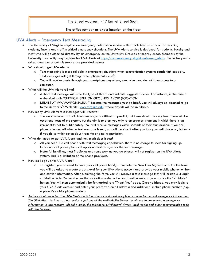#### The Street Address: 417 Emmet Street South

#### The office number or exact location on the floor

### <span id="page-12-0"></span>UVA Alerts – Emergency Text Messaging

- The University of Virginia employs an emergency notification service called UVA Alerts as a tool for reaching students, faculty and staff in critical emergency situations. The UVA Alerts service is designed for students, faculty and staff who will be affected directly by an emergency on the University Grounds or nearby areas. Members of the University community may register for UVA Alerts at [https://uvaemergency.virginia.edu/uva\\_alerts](https://uvaemergency.virginia.edu/uva_alerts) . Some frequently asked questions about this service are provided below:
- Why should I get UVA Alerts?
	- o Text messaging is more reliable in emergency situations when communication systems reach high capacity. Text messages will get through when phone calls won't.
	- o You will receive alerts through your smartphone anywhere, even when you do not have access to a computer.
- What will the UVA Alerts tell me?
	- o A short text message will state the type of threat and indicate suggested action. For instance, in the case of a chemical spill: "CHEMICAL SPILL ON GROUNDS. AVOID (LOCATION).
	- o DETAILS AT WWW.VIRGINIA.EDU." Because the messages must be brief, you will always be directed to go to the University's Web site [\(www.virginia.edu\)](http://www.virginia.edu/) where details will be available.
- How many UVA Alerts text messages will I receive?
	- o The exact number of UVA Alerts messages is difficult to predict, but there should be very few. There will be occasional tests of the system, but the aim is to alert you only to emergency situations in which there is an imminent threat to public safety. You will receive messages within seconds of their transmission. If your cell phone is turned off when a text message is sent, you will receive it after you turn your cell phone on, but only if you do so within seven days from the original transmission.
- What do I need to get UVA Alerts and how much does it cost?
	- $\circ$  All you need is a cell phone with text messaging capabilities. There is no charge to users for signing up. Individual cell phone plans will apply normal charges for the text message.
	- o Note: All landlines, most Tracfones and some pay-as-you-go phones will not register on the UVA Alerts system. This is a limitation of the phone providers.
- How do I sign up for UVA Alerts?
	- o To register, you do need to have your cell phone handy. Complete the New User Signup Form. On the form you will be asked to create a password for your UVA Alerts account and provide your mobile phone number and carrier information. After submitting the form, you will receive a text message that will include a 4-digit validation code. You must enter the validation code on the confirmation web page and click the "Validate" button. You will then automatically be forwarded to a "Thank You" page. Once validated, you may login to your UVA Alerts account and enter your preferred email address and additional mobile phone number (e.g., a parent's mobile phone number).
- *An important reminder: The UVA Web site is the primary and most complete resource for current emergency information. The UVA Alerts text messaging service is just one of the methods the University will use to communicate emergency information. If appropriate, global e-mails, the telephone switchboard, flyers, local media and other communication tools will also be used.*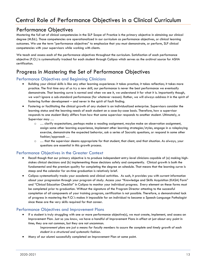# <span id="page-13-1"></span><span id="page-13-0"></span>Performance Objectives

Mastering the full set of clinical competencies in the SLP Scope of Practice is the primary objective in obtaining our clinical degree (M.Ed.). Those competencies are operationalized in our curriculum as performance objectives, or clinical learning outcomes. We use the term "performance objectives" to emphasize that you must demonstrate, or perform, SLP clinical competencies with your supervisors while working with clients.

We teach and assess each of the performance objectives throughout the curriculum. Satisfaction of each performance objective (P.O.) is systematically tracked for each student through Calipso which serves as the archival source for ASHA certification.

# <span id="page-13-2"></span>Progress in Mastering the Set of Performance Objectives

## <span id="page-13-3"></span>Performance Objectives and Beginning Clinicians

- Building your clinical skills is like any other learning experience: it takes practice; it takes reflection; it takes more practice. The first time any of us try a new skill, our performance is never the best performance we eventually demonstrate. That learning curve is normal and when we see it, we understand it for what it is. Importantly though, we won't ignore a sub-standard performance (for whatever reason). Rather, we will always address it in the spirit of fostering further development – and never in the spirit of fault finding.
- Fostering or facilitating the clinical growth of any student is an individualized enterprise. Supervisors consider the learning status and the learning needs of each student on a case-by-case basis. Therefore, how a supervisor responds to one student likely differs from how that same supervisor responds to another student. Ultimately, a Supervisor may …
	- $\circ$  ... clarify expectations, perhaps make a reading assignment, maybe make an observation assignment, assign some other learning experience, implement other learning strategies/styles, engage in a roleplaying exercise, demonstrate the expected behavior, ask a series of Socratic questions, or respond in some other fashion/approach …
	- o … that the supervisor deems appropriate for that student, that client, and that situation. As always, your questions are essential in this growth process.

## <span id="page-13-4"></span>Performance Objectives in the Greater Context

- Recall though that our primary objective is to produce independent entry-level clinicians capable of (a) making highstakes clinical decisions and (b) implementing those decisions safely and competently. Clinical growth is both the fundamental and the premium quality for completing the degree on schedule. That means that the learning curve is steep and the calendar for on-time graduation is relatively brief.
- Calipso systematically tracks your academic and clinical activities. As such, it provides you with current information about your progression through your program of study. Access your "Knowledge and Skills Acquisition (KASA) Form" and "Clinical Education Checklist" in Calipso to monitor your individual progress. Every element on these forms must be completed prior to graduation. Without the signature of the Program Director attesting to the successful completion of all components of your training program, certification is not possible. Therefore, a demonstrated lack of progress in mastering the P.O.'s makes it impossible for an individual to become a Speech-Language Pathologist since these are the very skills required for that career.

#### <span id="page-13-5"></span>Performance Objectives and Improvement Plans

- If a student is truly struggling with one or more performance objective(s), we must create, implement, and assess an Improvement Plan. Just so you know, we have a handful of Improvement Plans in effect at just about any point in time; they are not common, but they are not uncommon.
	- *Improvement plans are just a means for faculty members to assure the complete and timely growth of each student in a structured and systematic fashion.*
- Many of our alumni successfully completed an Improvement Plan at some point.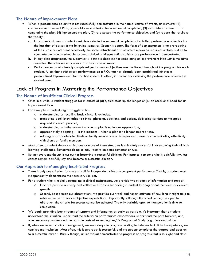## <span id="page-14-0"></span>The Nature of Improvement Plans

- When a performance objective is not successfully demonstrated in the normal course of events, an instructor (1) creates an Improvement Plan, (2) establishes a criterion for a successful completion, (3) establishes a calendar for completing the plan, (4) implements the plan, (5) re-assesses the performance objective, and (6) reports the results to the faculty.
	- a. In academic classes, a student must demonstrate the successful completion of a failed performance objective by the last day of classes in the following semester. Sooner is better. The form of demonstration is the prerogative of the instructor and is not necessarily the same instructional or assessment means as required in class. Failure to complete the plan on schedule suspends clinical privileges until a satisfactory performance is demonstrated.
	- b. In any clinic assignment, the supervisor(s) define a deadline for completing an Improvement Plan within the same semester. The schedule may consist of a few days or weeks.
	- c. Performances on all already-completed performance objectives are monitored throughout the program for each student. A less than satisfactory performance on a P.O. that has already been established initiates a personalized Improvement Plan for that student. In effect, instruction for achieving the performance objective is started over.

# <span id="page-14-1"></span>Lack of Progress in Mastering the Performance Objectives

## <span id="page-14-2"></span>The Nature of Insufficient Clinical Progress

- Once in a while, a student struggles far in excess of (a) typical start-up challenges or (b) an occasional need for an Improvement Plan.
- For example, a student might struggle with …
	- o understanding or recalling basic clinical knowledge,
	- o translating book knowledge to clinical planning, decisions, and actions, delivering services at the speed required in clinical practice,
	- o understanding -- in-the-moment -- when a plan is no longer appropriate,
	- $\circ$  appropriately adapting  $-$  in-the-moment  $-$  when a plan is no longer appropriate,
	- o relating appropriately to clients or family members in an interpersonal sense or communicating effectively with clients or family members.
- Most often, a student demonstrating one or more of these struggles is ultimately successful in overcoming their clinicallearning challenges. Sometimes doing so may require an extra semester or two.
- But not everyone though is cut out for becoming a successful clinician. For instance, someone who is painfully shy, just cannot remain painfully shy and become a successful clinician.

## <span id="page-14-3"></span>Our Approach to Managing Insufficient Progress

- There is only one criterion for success in clinic: independent clinically competent performance. That is, a student must independently demonstrate the necessary skill set.
- For a student who is mightily struggling in clinical assignments, we provide two streams of information and support.
	- o First, we provide our very best collective efforts in supporting a student to bring about the necessary clinical growth.
	- o Second, based upon our observations, we provide our frank and honest estimate of how long it might take to achieve the performance-objective expectations. Importantly, although the schedule may be open to alteration, the criteria for success cannot be adjusted. The only variable open to manipulation is time-tocompletion.
- We begin providing both streams of support and information as early as possible. It's important that a student understand the situation, understand the criteria on performance expectations, understand the path forward, and, when necessary, understand the possible costs of extending her/his Program of Study (e.g., time and tuition).
- If, when we repeat a clinical assignment, we see adequate progress leading to independent clinical competence, we continue matriculation. Most often, this is approach is successful, and the student completes the degree and goes on to a successful career. Rarely though, an individual demonstrates no progress or progress that is so slight and slow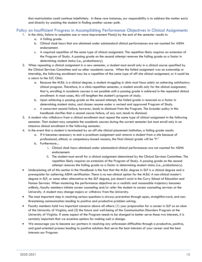that matriculation could continue indefinitely. In these rare instances, our responsibility is to address the matter early and directly by assisting the student in finding another career path.

### <span id="page-15-0"></span>Policy on Insufficient Progress in Accomplishing Performance Objectives in Clinical Assignments

- 1. In the clinic, failure to complete one or more Improvement Plan(s) by the end of the semester results in:
	- a. A failing grade.
	- b. Clinical clock hours that are obtained under substandard clinical performances are not counted for ASHA endorsement.
	- c. A required repetition of the same type of clinical assignment. The repetition likely requires an extension of the Program of Study. A passing grade on the second attempt removes the failing grade as a factor in determining student status (i.e., probationary).
- 2. When repeating a clinical assignment in a new semester, a student must enroll only in a clinical course specified by the Clinical Services Committee and no other academic course. When the failed assignment was an externship or internship, the following enrollment may be a repetition of the same type of off-site clinical assignment, or it could be a return to the SJC Clinic.
	- a. Because the M.Ed. is a clinical degree, a student struggling in clinic must focus solely on achieving satisfactory clinical progress. Therefore, in a clinic-repetition semester, a student enrolls only for the clinical assignment; that is, enrolling in academic courses is not possible until a passing grade is achieved in the repeated clinical enrollment. In most cases, this will lengthen the student's program of study.
	- b. Upon achieving a passing grade on the second attempt, the failed grade is removed as a factor in determining student status, and classes resume under a revised and approved Program of Study.
	- c. A concurrent second failure, however, leads to dismissal from the Program. The broader policy in this handbook clarifies that a second course failure, of any sort, leads to dismissal.
- 3. A student who withdraws from a clinical enrollment must repeat the same type of clinical assignment in the following semester. That student may complete the academic courses during the current semester but must enroll only in an intensive clinical enrollment in the following semester.
- 4. In the event that a student is terminated by an off-site clinical-placement institution, a failing grade results.
	- a. If it becomes necessary to end a practicum assignment and remove a student from a site because of professional, ethical, or competency-based reasons, the final clinical grade will be "F."
	- b. Furthermore...
		- i. Clinical clock hours obtained under substandard clinical performances are not counted for ASHA endorsement.
		- ii. The student must enroll for a clinical assignment determined by the Clinical Services Committee. The repetition likely requires an extension of the Program of Study. A passing grade on the second attempt removes the failing grade as a factor in determining student status (i.e., probationary).
- Underpinning all of this section in the Handbook is the fact that the M.Ed. degree in SLP is a clinical degree and a prerequisite for achieving ASHA certification. There is no non-clinical option for the M.Ed. A non-clinical master's degree in SLP, or some other alternative to the SLP degree, just doesn't exist in the Curry School of Education and Human Services. When mastering the performance objectives on a realistic and reasonable trajectory becomes unlikely, faculty members initiate career counseling and/or refer the student to career counseling services at the University. A student may change majors or withdraw from the University.
- The most important step in resolving serious questions is always prevention through open, straightforward, and nonthreatening communication leading to positive and productive problem solving.
- Faculty members hold two important concerns above all others: (1) your preparation for a career in SLP as an alum of the University of Virginia, and (2) the future and well-being of the Communication Disorders Program at the University of Virginia. If some aspect of the Program needs to be changed to better serve those two interests, it is certainly important that we examine options for making such a change.
- We encourage you to become our partners in resolving any unforeseen difficulties through a productive, positive, and goal-oriented process leading to positive solutions that serve the best interests of your career and the best interests our Program.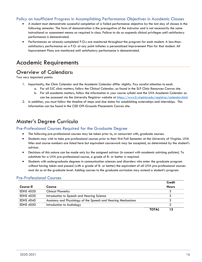## <span id="page-16-0"></span>Policy on Insufficient Progress in Accomplishing Performance Objectives in Academic Classes

- A student must demonstrate successful completion of a failed performance objective by the last day of classes in the following semester. The form of demonstration is the prerogative of the instructor and is not necessarily the same instructional or assessment means as required in class. Failure to do so suspends clinical privileges until satisfactory performance is demonstrated.
- Performances on already-completed P.O.s are monitored throughout the program for each student. A less-thansatisfactory performance on a P.O. at any point initiates a personalized Improvement Plan for that student. All Improvement Plans are monitored until satisfactory performance is demonstrated.

# <span id="page-16-1"></span>[Academic Requirements](#page-16-1)

# <span id="page-16-2"></span>Overview of Calendars:

Two very important points:

- 1. Importantly, the Clinic Calendar and the Academic Calendar differ slightly. Pay careful attention to each.
	- a. For all SJC clinic matters, follow the Clinical Calendar, as found in the SLP Clinic Resources Canvas site.
	- b. For all academic matters, follow the information in your course syllabi and the UVA Academic Calendar as can be accessed via the University Registrar website at [https://www2.virginia.edu/registrar/calendar.html.](https://www2.virginia.edu/registrar/calendar.html)
- 2. In addition, you must follow the timeline of steps and due dates for establishing externships and internships. This information can be found in the CSD Off-Grounds Placements Canvas site.

# <span id="page-16-3"></span>Master's Degree Curricula

#### <span id="page-16-4"></span>Pre-Professional Courses Required for the Graduate Degree

- The following pre-professional courses may be taken prior to, or concurrent with, graduate courses.
- Students may wish to take pre-professional courses prior to their first Fall Semester at the University of Virginia. UVA titles and course numbers are listed here but equivalent coursework may be accepted, as determined by the student's advisor.
- Decisions of this nature can be made only by the assigned advisor (in concert with academic advising policies). To substitute for a UVA pre-professional course, a grade of B- or better is required.
- Students with undergraduate degrees in communication sciences and disorders who enter the graduate program without having taken and passed (with a grade of B- or better) the equivalent of all UVA pre-professional courses must do so at the graduate level. Adding courses to the graduate curriculum may extend a student's program.

## Pre-Professional Courses

|                  |                                                             |              | Credit       |
|------------------|-------------------------------------------------------------|--------------|--------------|
| Course #         | <b>Course</b>                                               |              | <b>Hours</b> |
| <b>EDHS 4020</b> | <b>Clinical Phonetics</b>                                   |              |              |
| <b>EDHS 4030</b> | Introduction to Speech and Hearing Science                  |              |              |
| <b>EDHS 4040</b> | Anatomy and Physiology of the Speech and Hearing Mechanisms |              |              |
| <b>EDHS 4050</b> | Introduction to Audiology                                   |              |              |
|                  |                                                             | <b>TOTAL</b> |              |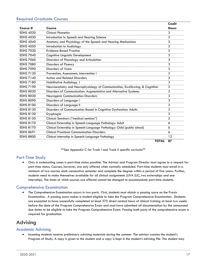## <span id="page-17-0"></span>Required Graduate Courses

|                  |                                                                            | <b>Credit</b> |
|------------------|----------------------------------------------------------------------------|---------------|
| Course #         | Course                                                                     | <b>Hours</b>  |
| <b>EDHS 4020</b> | <b>Clinical Phonetics</b>                                                  | 3             |
| <b>EDHS 4030</b> | Introduction to Speech and Hearing Science                                 | 3             |
| <b>EDHS 4040</b> | Anatomy and Physiology of the Speech and Hearing Mechanisms                | 3             |
| <b>EDHS 4050</b> | Introduction to Audiology                                                  | 3             |
| <b>EDHS 7020</b> | <b>Evidence-Based Practice</b>                                             | 2             |
| <b>EDHS 7040</b> | Cognitive Linguistic Development                                           | 3             |
| <b>EDHS 7060</b> | Disorders of Phonology and Articulation                                    | 3             |
| <b>EDHS 7080</b> | Disorders of Fluency                                                       | 3             |
| <b>EDHS 7090</b> | <b>Disorders of Voice</b>                                                  | 3             |
| <b>EDHS 7120</b> | Prevention, Assessment, Intervention I                                     | 3             |
| <b>EDHS 7140</b> | <b>Autism and Related Disorders</b>                                        | 2             |
| <b>EDHS 7180</b> | Habilitative Audiology 1                                                   | 3             |
| <b>EDHS 7190</b> | Neuroanatomy and Neurophysiology of Communication, Swallowing, & Cognition | 3             |
| <b>EDHS 8020</b> | Disorders of Communication: Augmentative and Alternative Systems.          | 3             |
| <b>EDHS 8030</b> | Neurogenic Communication Disorders                                         | 3             |
| <b>EDHS 8090</b> | Disorders of Language I                                                    | 3             |
| <b>EDHS 8100</b> | Disorders of Language II                                                   | 3             |
| <b>EDHS 8120</b> | Disorders of Communication Based in Cognitive Dysfunction: Adults          | 3             |
| <b>EDHS 8130</b> | Dysphagia                                                                  | 3             |
| <b>EDHS 8150</b> | Clinical Seminars ("medical seminar")                                      | 2             |
| <b>EDHS 8170</b> | Clinical Externship in Speech-Language Pathology: Adult                    | 6             |
| <b>EDHS 8170</b> | Clinical Externship in Speech-Language Pathology: Child (public school)    | 6             |
| <b>EDHS 8691</b> | <b>Clinical Practicum Communication Disorders</b>                          | 6             |
| <b>EDHS 8800</b> | Clinical Internship in Speech-Language Pathology                           | 12            |
|                  | <b>TOTAL</b>                                                               | 87            |

\*\*See Appendix C for Track I and Track II specific curricula\*\*

## <span id="page-17-1"></span>Part-Time Study

• Only in extenuating cases is part-time status possible. The Advisor and Program Director must agree to a request for part-time status. Courses, however, are only offered when normally scheduled. Part-time students must enroll in a minimum of two courses each consecutive semester and complete the degree within a period of five years. Further, students need to make themselves available for all clinical assignments (UVA SJC, two externships and one internship). The times at which courses are offered cannot be changed to accommodate part-time students.

## <span id="page-17-2"></span>Comprehensive Examination

• The Comprehensive Examination occurs in two parts. First, students must obtain a passing score on the Praxis Examination. A passing score makes a student eligible to take the Program Comprehensive Examination. Students are expected to have successfully completed at least 375 direct contact hours of clinical training at least two weeks before the date of the Program Comprehensive Exam and must have submitted all documentation by the announced due dates to be eligible to take the Program Comprehensive Exam. Passing both parts of the comprehensive exam is required for graduation.

# <span id="page-17-3"></span>Advising

#### <span id="page-17-4"></span>Academic Advising

• Incoming students receive preliminary advising materials during the summer. The advisor creates the student's Program of Study. A copy is given to the student and a copy is kept in the student's advising file. The student may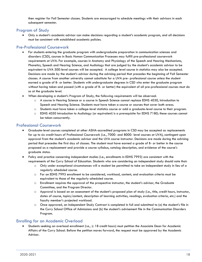then register for Fall Semester classes. Students are encouraged to schedule meetings with their advisors in each subsequent semester.

## <span id="page-18-0"></span>Program of Study

• Only a student's academic advisor can make decisions regarding a student's academic program, and all decisions must be consistent with established academic policies.

## <span id="page-18-1"></span>Pre-Professional Coursework

- For students entering the graduate program with undergraduate preparation in communication sciences and disorders (CSD), courses in Basic Human Communication Processes may fulfill pre-professional coursework requirements at UVA. For example, courses in Anatomy and Physiology of the Speech and Hearing Mechanisms, Phonetics, Speech and Hearing Science, and Audiology that are judged by the student's academic advisor to be equivalent to UVA 500-level courses will be accepted. A college level course in statistics may also be accepted. Decisions are made by the student's advisor during the advising period that precedes the beginning of Fall Semester classes. A course from another university cannot substitute for a UVA pre- professional course unless the student earned a grade of B- or better. Students with undergraduate degrees in CSD who enter the graduate program without having taken and passed (with a grade of B- or better) the equivalent of all pre-professional courses must do so at the graduate level.
- When developing a student's Program of Study, the following requirements will be observed:
	- o A course in Hearing Science or a course in Speech Science cannot replace EDHS 4030, Introduction to Speech and Hearing Science. Students must have taken a course or courses that cover both areas.
	- o Students must have taken a college-level statistics course or add a graduate-level course to their program.
	- $\circ$  EDHS 4050 Introduction to Audiology (or equivalent) is a prerequisite for EDHS 7180; these courses cannot be taken concurrently.

## <span id="page-18-2"></span>Professional Coursework

- Graduate-level courses completed at other ASHA-accredited programs in CSD may be accepted as replacements for up to six credit hours of Professional Coursework (i.e., 7000- and 8000- level courses at UVA), contingent upon approval from the student's academic advisor and the UVA course instructor. Decisions are made during the advising period that precedes the first day of classes. The student must have earned a grade of B- or better in the course proposed as a replacement and provide a course syllabus, catalog description, and evidence of the course's graduate status.
- Policy and practice concerning independent studies (i.e., enrollments in EDHS 7993) are consistent with the requirements of the Curry School of Education. Students who are considering an independent study should note that:
	- o Only under exceptional circumstances will a student be permitted to take an independent study in lieu of a regularly scheduled course.
	- o For an EDHS 7993 enrollment to be considered, workload, content, and evaluation criteria must be equivalent to those of the regularly scheduled course.
	- $\circ$  Enrollment requires the approval of the prospective instructor, the student's advisor, the Graduate Committee, and the Program Director.
	- o Approval is based on an assessment of the student's proposed plan of study (i.e., title, credit hours, instructor, dates of course, topics/content, description of learning activities, readings, evaluation criteria, etc.) and the faculty member's projected workload.
	- o Once approved, an Independent Study Contract is completed in full and submitted to (a) the student's file in the Curry School Office of Admissions and (b) the student's advisement file in the Communication Disorders Program.

## <span id="page-18-3"></span>Enrolling for an Academic Overload

• Students seeking an overload enrollment (i.e., ≥ 18 credit hours) must petition the Associate Dean for Academic Affairs of the Curry School. Before the petition moves forward, the request must be approved by the Academic Advisor.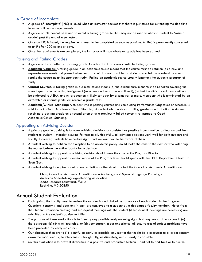# <span id="page-19-0"></span>A Grade of Incomplete

- A grade of 'incomplete' (INC) is issued when an instructor decides that there is just cause for extending the deadline to submit all course requirements.
- A grade of INC cannot be issued to avoid a failing grade. An INC may not be used to allow a student to "raise a grade" past the end of a semester.
- Once an INC is issued, the requirements need to be completed as soon as possible. An INC is permanently converted to an F after 200 calendar days.
- Once the requirements are completed, the instructor will issue whatever grade has been earned.

## <span id="page-19-1"></span>Passing and Failing Grades

- A grade of B- or better is a passing grade. Grades of C+ or lower constitute failing grades.
- **Academic Courses:** A failing grade in an academic course means that the course must be retaken (as a new and separate enrollment) and passed when next offered. It is not possible for students who fail an academic course to retake the course as an independent study. Failing an academic course usually lengthens the student's program of study.
- **Clinical Courses**: A failing grade in a clinical course means (a) the clinical enrollment must be re-taken covering the same type of clinical setting/assignment (as a new and separate enrollment), (b) that the clinical clock hours will not be endorsed to ASHA, and (c) graduation is likely set back by a semester or more. A student who is terminated by an externship or internship site will receive a grade of F.
- **Academic/Clinical Standing:** A student who is passing courses and completing Performance Objectives on schedule is said to be in Good Academic/Clinical Standing. A student who receives a failing grade is on Probation. A student receiving a passing grade on a second attempt at a previously failed course is re-instated to Good Academic/Clinical Standing.

## <span id="page-19-2"></span>Appealing an Advising Decision

- A primary goal in advising is to make advising decisions as consistent as possible from situation to situation and from student to student – thereby assuring fairness to all. Hopefully, all advising decisions work well for both students and faculty. However, students have certain rights and we want you to be aware of them.
- A student wishing to petition for exception to an academic policy should make the case to the advisor who will bring the matter before the entire faculty for a decision.
- A student wishing to appeal an advising decision should make the case to the Program Director.
- A student wishing to appeal a decision made at the Program level should speak with the EDHS Department Chair, Dr. Scott Gest.
- A student wishing to inquire about an accreditation matter should contact the Council on Academic Accreditation:

<span id="page-19-3"></span>Chair, Council on Academic Accreditation in Audiology and Speech-Language Pathology American Speech-Language-Hearing Association 2200 Research Boulevard, #310 Rockville, MD 20850

# Annual Student Evaluation

- Each Spring, the faculty meet to review the academic and clinical performance of each student in the Program. Questions, concerns, and decisions (if any) are conveyed to a student by a designated faculty member. Notes from the Student Evaluation meeting and subsequent meetings with the student (if subsequent meetings are necessary) are submitted to the student's advisement file.
- The purpose of these evaluations is to identify any possible early-warning signs that may jeopardize success in (a) the classroom, (b) clinic, (c) internship, or (d) your career. In our experience, all occurrences of serious problems have been preceded by early indicators.
- Our objectives then are to (1) identify, as early as possible, any matter that might be a precursor to a larger concern down the road, and (2) to intervene as thoughtfully, as discretely, and as early as possible.
- So, this evaluation is to prevent difficulties in a positive and productive fashion and not to find fault or to punish.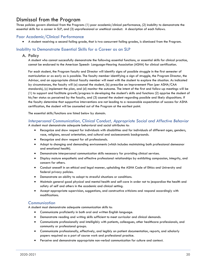# <span id="page-20-0"></span>Dismissal from the Program

Three policies govern dismissal from the Program: (1) poor academic/clinical performance, (2) inability to demonstrate the essential skills for a career in SLP, and (3) unprofessional or unethical conduct. A description of each follows.

## <span id="page-20-1"></span>Poor Academic/Clinical Performance

• A student receiving a second failing grade, that is two concurrent failing grades, is dismissed from the Program.

## <span id="page-20-2"></span>Inability to Demonstrate Essential Skills for a Career as an SLP

#### A. Policy

A student who cannot successfully demonstrate the following essential functions, or essential skills for clinical practice, cannot be endorsed to the American Speech- Language-Hearing Association (ASHA) for clinical certification.

For each student, the Program faculty and Director will identify signs of possible struggle in the first semester of matriculation or as early as is possible. The faculty member identifying a sign of struggle, the Program Director, the Advisor, and an appropriate clinical faculty member will meet with the student to explore the situation. As indicated by circumstances, the faculty will (a) counsel the student, (b) prescribe an Improvement Plan (per ASHA/CAA standards), (c) implement the plan, and (d) monitor the outcome. The intent of the first and follow-up meetings will be (1) to support and facilitate growth/progress in developing the student's skills and functions (2) apprise the student of his/her status as perceived by the faculty, and (3) counsel the student regarding possible and likely dispositions. If the faculty determine that supportive interventions are not leading to a reasonable expectation of success for ASHA certification, the student will be counseled out of the Program at the earliest point.

The essential skills/functions are listed below by domain.

# *Interpersonal Communication, Clinical Conduct, Appropriate Social and Affective Behavior*

A student must demonstrate adequate behavioral and social attributes to:

- Recognize and show respect for individuals with disabilities and for individuals of different ages, genders, race, religions, sexual orientation, and cultural and socioeconomic backgrounds.
- Recognize and show respect for all professionals.
- Adapt to changing and demanding environments (which includes maintaining both professional demeanor and emotional health).
- Demonstrate interpersonal communication skills necessary for providing clinical services.
- Display mature empathetic and effective professional relationships by exhibiting compassion, integrity, and concern for others.
- Conduct oneself in an ethical and legal manner, upholding the ASHA Code of Ethics and University and federal privacy policies.
- Demonstrate an ability to adapt to stressful situations or conditions.
- Maintain general good physical and mental health and self-care in order not to jeopardize the health and safety of self and others in the academic and clinical setting.
- Accept appropriate supervision, suggestions, and constructive criticisms and respond accordingly with modifications.

#### *Communication*

A student must demonstrate adequate communication skills to:

- Communicate proficiently in both oral and written English language.
- Demonstrate reading and writing skills sufficient to meet curricular and clinical demands.
- Communicate professionally and intelligibly with patients, colleagues, other healthcare professionals, and community or professional groups.
- Communicate professionally, effectively, and legibly on patient documentation, reports, and scholarly papers required as a part of course work and professional practice.
- Perceive and demonstrate appropriate non-verbal communication for culture and context.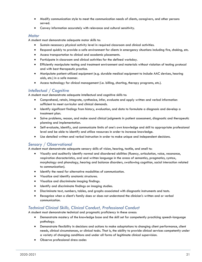- Modify communication style to meet the communication needs of clients, caregivers, and other persons served.
- Convey information accurately with relevance and cultural sensitivity.

#### *Motor*

A student must demonstrate adequate motor skills to:

- Sustain necessary physical activity level in required classroom and clinical activities.
- Respond quickly to provide a safe environment for clients in emergency situations including fire, choking, etc.
- Access transportation to clinical and academic placements.
- Participate in classroom and clinical activities for the defined workday.
- Efficiently manipulate testing and treatment environment and materials without violation of testing protocol and with best therapeutic practice.
- Manipulate patient-utilized equipment (e.g. durable medical equipment to include AAC devices, hearing aids, etc.) in a safe manner.
- Access technology for clinical management (i.e. billing, charting, therapy programs, etc.).

## *Intellectual / Cognitive*

A student must demonstrate adequate intellectual and cognitive skills to:

- Comprehend, retain, integrate, synthesize, infer, evaluate and apply written and verbal information sufficient to meet curricular and clinical demands.
- Identify significant findings from history, evaluation, and data to formulate a diagnosis and develop a treatment plan.
- Solve problems, reason, and make sound clinical judgments in patient assessment, diagnostic and therapeutic planning and implementation.
- Self-evaluate, identify, and communicate limits of one's own knowledge and skill to appropriate professional level and be able to identify and utilize resources in order to increase knowledge.
- Use detailed written and verbal instruction in order to make unique and independent decisions.

## *Sensory / Observational*

A student must demonstrate adequate sensory skills of vision, hearing, tactile, and smell to:

- Visually and auditorily identify normal and disordered abilities (fluency, articulation, voice, resonance, respiration characteristics, oral and written language in the areas of semantics, pragmatics, syntax, morphology and phonology, hearing and balance disorders, swallowing cognition, social interaction related to communication).
- Identify the need for alternative modalities of communication.
- Visualize and identify anatomic structures.
- Visualize and discriminate imaging findings.
- Identify and discriminate findings on imaging studies.
- Discriminate text, numbers, tables, and graphs associated with diagnostic instruments and tests.
- Recognize when a client's family does or does not understand the clinician's written and or verbal communication.

## *Technical Clinical Skills, Clinical Conduct, Professional Conduct*

A student must demonstrate technical and pragmatic proficiency in these areas:

- Demonstrate mastery of the knowledge base and the skill set for competently practicing speech-language pathology.
- Demonstrate flexibility in decisions and actions to make adaptations to changing client performance, client needs, clinical circumstances, or clinical tasks. That is, the ability to provide clinical services competently under a variety of changing conditions and under all forms of legitimate clinical supervision.
- Observe professional dress codes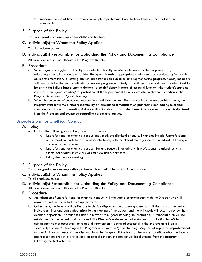- Manage the use of time effectively to complete professional and technical tasks within realistic time constraints.
- B. Purpose of the Policy

To assure graduates are eligible for ASHA certification.

- C. Individual(s) to Whom the Policy Applies
	- To all graduate students
- D. Individual(s) Responsible for Upholding the Policy and Documenting Compliance

All faculty members and ultimately the Program Director

- E. Procedure
	- a. When signs of struggle or difficulty are detected, faculty members intervene for the purposes of (a) educating/counseling a student, (b) identifying and invoking appropriate student support services, (c) formulating an Improvement Plan, (d) setting explicit expectations on outcomes, and (e) monitoring progress. Faculty members will meet with the student as indicated to review progress and likely dispositions. Once a student is determined to be at risk for failure based upon a demonstrated deficiency in terms of essential functions, the student's standing is moved from 'good standing' to 'probation.' If the Improvement Plan is successful, a student's standing in the Program is returned to 'good standing.'
	- b. When the outcomes of counseling interventions and Improvement Plans do not indicate acceptable growth, the Program must fulfill the ethical responsibility of terminating a matriculation plan that is not leading to clinical competence sufficient for meeting ASHA certification standards. Under these circumstances, a student is dismissed from the Program and counseled regarding career alternatives.

## <span id="page-22-0"></span>Unprofessional or Unethical Conduct

- A. Policy
	- Each of the following would be grounds for dismissal.
		- o Unprofessional or unethical conduct may motivate dismissal or cause. Examples include: Unprofessional or unethical conduct, for any reason, interfering with the clinical management of an individual having a communication disorder.
		- o Unprofessional or unethical conduct, for any reason, interfering with professional relationships with clients, colleagues, instructors, or Off-Grounds supervisors.
		- o Lying, cheating, or stealing
- B. Purpose of the Policy

To assure graduates are responsible professionals and eligible for ASHA certification.

- C. Individual(s) to Whom the Policy Applies To all graduate students
- D. Individual(s) Responsible for Upholding the Policy and Documenting Compliance All faculty members and ultimately the Program Director
- E. Procedure
	- a. An indication of unprofessional or unethical conduct will motivate a communication with the Director who will organize and initiate a fact- finding initiative.
	- b. Collectively, the faculty will deliberate to decide disposition on a case-by-case basis. If the facts of the matter indicate a minor and unintended infraction, a meeting of the student and the principals will occur to review the decided disposition. The student's status is moved from 'good standing' to 'probation.' A remedial plan will be established, implemented, and monitored. The Director's endorsement of a student's application for ASHA certification cannot occur until the remedial intervention is declared successful. If the Improvement Plan is successful, a student's standing in the Program is returned to 'good standing.' Any sort of repeated unprofessional or unethical conduct necessitates dismissal from the Program. If the facts of the matter constitute what the faculty deem a serious breach in professional or ethical conduct, the student will be dismissed from the program following the first offense.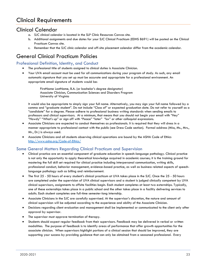# <span id="page-23-0"></span>[Clinical Requirements](#page-23-0)

# <span id="page-23-1"></span>Clinical Calendar

- a. SJC clinical calendar is located in the SLP Clinic Resources Canvas site.
- b. Additional assignments and due dates for your SJC Clinical Practicum (EDHS 8691) will be posted on the Clinical Practicum Canvas site.
- c. Remember that the SJC clinic calendar and off-site placement calendar differ from the academic calendar.

# <span id="page-23-2"></span>General Clinical Practicum Policies

# <span id="page-23-3"></span>Professional Definition, Identity, and Conduct

- The professional title of students assigned to clinical duties is Associate Clinician.
- Your UVA email account must be used for all communications during your program of study. As such, any email automatic signature that you set up must be accurate and appropriate for a professional environment. An appropriate email signature of students would be:

FirstName LastName, B.A. (or bachelor's degree designator) Associate Clinician, Communication Sciences and Disorders Program University of Virginia

It would also be appropriate to simply sign your full name. Alternatively, you may sign your full name followed by a comma and "graduate student". Do not include "Class of" or expected graduation date. Do not refer to yourself as a "candidate" for a degree. Please adhere to professional business writing standards when sending emails to professors and clinical supervisors. At a minimum, that means that you should not begin your email with "Hey" "Howdy" "What's up" or sign off with "Peace" "later" "luv" or other colloquial expressions.

- Associate Clinicians are expected to conduct themselves as professionals. It is required that they will dress in a manner appropriate to professional contact with the public (see Dress Code section). Formal address (Miss, Ms., Mrs., Mr., Dr.) is always used.
- Associate Clinicians and all students observing clinical operations are bound by the ASHA Code of Ethics <http://www.asha.org/Code-of-Ethics/>

## <span id="page-23-4"></span>Some General Matters Regarding Clinical Practicum and Supervision

- Clinical practica are an essential component of graduate education in speech-language pathology. Clinical practice is not only the opportunity to apply theoretical knowledge acquired in academic courses; it is the training ground for mastering the full skill set required for clinical practice including interpersonal communication, writing skills, professional conduct, behavior management, evidence-based practice, as well as business related aspects of speechlanguage pathology such as billing and reimbursement.
- The first 25 50 hours of every student's clinical practicum at UVA takes place in the SJC. Once the 25 50 hours are completed under the supervision of UVA clinical supervisors and a student is judged clinically competent by UVA clinical supervisors, assignments to offsite facilities begin. Each student completes at least two externships. Typically, one of these externships takes place in a public school and the other takes place in a facility delivering services to adults. Each student completes one full-time semester-long internship.
- Associate Clinicians in the SJC are carefully supervised. At the supervisor's discretion, the nature and amount of clinical supervision will be adjusted according to the experience and ability of the Associate Clinician.
- Decisions regarding client evaluation and management shall be implemented or communicated to the client only after approval by supervisor.
- The supervisor must approve termination of therapy.
- Students should expect regular feedback from their supervisors. Feedback may be delivered in verbal or written modalities. The purpose of feedback is to identify areas of performance that offer growth opportunities for the associate clinician. When supervisors highlight portions of a clinical session that should be improved, they are supporting your success by providing guidance that can only be obtained from a seasoned professional. Every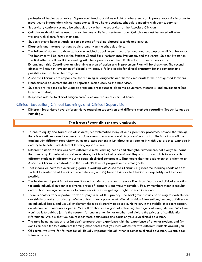professional begins as a novice. Supervisors' feedback shines a light on where you can improve your skills in order to move you to independent clinical competence. If you have questions, schedule a meeting with your supervisor.

- Supervisory conferences may be scheduled by either the supervisor or the Associate Clinician.
- Cell phones should not be used to view the time while in a treatment room. Cell phones must be turned off when working with clients/family members.
- Students should have a watch, or some means of tracking elapsed seconds and minutes.
- Diagnostic and therapy sessions begin promptly at the scheduled time.
- The failure of students to show up for a scheduled appointment is unprofessional and unacceptable clinical behavior. This behavior will be noted in the Student Clinical Skills Performance Evaluation, and the Annual Student Evaluation. The first offense will result in a meeting with the supervisor and the SJC Director of Clinical Services or Extern/Internship Coordinator at which time a plan of action and Improvement Plan will be drawn up. The second offense will result in revocation of clinical privileges, a failing grade for clinical practicum for the semester and possible dismissal from the program.
- Associate Clinicians are responsible for returning all diagnostic and therapy materials to their designated locations.
- Nonfunctional equipment should be reported immediately to the supervisor.
- Students are responsible for using appropriate procedures to clean the equipment, materials, and environment (see Infection Control,).
- Responses related to clinical assignments/issues are required within 24 hours.

### <span id="page-24-0"></span>Clinical Education, Clinical Learning, and Clinical Supervision

• Different Supervisors have different views regarding supervision and different methods regarding Speech-Language Pathology.

#### **That is true of every clinic and every university.**

- To ensure equity and fairness to all students, we systematize many of our supervisory processes. Beyond that though, there is sometimes more than one efficacious mean to a common end. A professional fact of life is that you will be dealing with different supervisory styles and expectations in just about every setting in which you practice. Manage it and try to benefit from different learning opportunities.
- Different Associate Clinicians have different clinical learning needs and strengths. Furthermore, not everyone learns the same way. For educators and supervisors, that is a fact of professional life; a part of our job is to work with different students in different ways to establish clinical competency. That means that the assignment of a client to an Associate Clinician is calibrated to that student's level of progress and current goals.
- That means we have two overriding goals in working with Associate Clinicians: (1) meet the learning needs of each student to master all of the clinical competencies, and (2) treat all Associate Clinicians as equitably and fairly as possible.
- The fundamental point is that we aren't manufacturing cars on an assembly line. Providing a good clinical education for each individual student in a diverse group of learners is enormously complex. Faculty members meet in regular and ad hoc meetings continuously to make certain we are getting it right for each individual.
- There is another very important factor at play in all of this: privacy. The background issues pertaining to each student are strictly a matter of privacy. We hold that privacy paramount. We will fashion interventions/lessons/activities on an individual basis, and we will implement them as discretely as possible. However, in the middle of a client session, an intervention is necessarily public. We will do that with a goal of upholding the dignity of every student. What we won't do is to publicly justify the reasons for one intervention or another and violate the privacy of confidential information. We ask that you too respect those boundaries and focus on your own clinical education.
- The take-home messages are: (a) don't compare your experience with the experience of another student, and (b) don't compare the two different learning experiences that you may witness for two different students around you.
- Of course, we strive for fairness for all. Equally important though, when it comes to clinical education, we strive for fairness for each.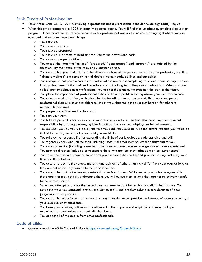# <span id="page-25-0"></span>Basic Tenets of Professionalism

- Taken from: Chial, M. R., 1998. Conveying expectations about professional behavior Audiology Today, 10, 25.
- When this article appeared in 1998, it instantly became legend. You will find it in just about every clinical education program. It has stood the test of time because every professional was once a novice, starting right where you are now, and had to learn these exact things:
	- o You show up.
	- o You show up on time.
	- o You show up prepared.
	- o You show up in a frame of mind appropriate to the professional task.
	- o You show up properly attired.
	- o You accept the idea that "on time," "prepared," "appropriate," and "properly" are defined by the situations, by the nature of the task, or by another person.
	- o You accept that your first duty is to the ultimate welfare of the persons served by your profession, and that "ultimate welfare" is a complex mix of desires, wants, needs, abilities and capacities.
	- o You recognize that professional duties and situations are about completing tasks and about solving problems in ways that benefit others, either immediately or in the long term. They are not about you. When you are called upon to behave as a professional, you are not the patient, the customer, the star, or the victim.
	- o You place the importance of professional duties, tasks and problem solving above your own convenience.
	- o You strive to work effectively with others for the benefit of the person served. This means you pursue professional duties, tasks and problem solving in ways that make it easier (not harder) for others to accomplish their work.
	- o You properly credit others for their work.
	- o You sign your work.
	- o You take responsibility for your actions, your reactions, and your inaction. This means you do not avoid responsibility by offering excuses, by blaming others, by emotional displays, or by helplessness.
	- o You do what you say you will do. By the time you said you would do it. To the extent you said you would do it. And to the degree of quality you said you would do it.
	- o You take active responsibility for expanding the limits of our knowledge, understanding and skill.
	- o You vigorously seek and tell the truth, including those truths that may be less than flattering to you.
	- o You accept direction (including correction) from those who are more knowledgeable or more experienced. You provide direction (including correction) to those who are less knowledgeable or less experienced.
	- o You value the resources required to perform professional duties, tasks, and problem solving, including your time and that of others.
	- o You accord respect to the values, interests, and opinions of others that may differ from your own, as long as they are not objectively harmful to the persons served.
	- o You accept the fact that others may establish objectives for you. While you may not always agree with those goals, or may not fully understand them, you will pursue them as long they are not objectively harmful to the persons served.
	- o When you attempt a task for the second time, you seek to do it better than you did it the first time. You revise the ways you approach professional duties, tasks, and problem solving in consideration of peer judgments of best practices.
	- o You accept the imperfections of the world in ways that do not compromise the interests of those you serve, or your own pursuit of excellence.
	- o You base your opinions, actions and relations with others upon sound empirical evidence, and upon examined personal values consistent with the above.
	- o You expect all of the above from other professionals.

## <span id="page-25-1"></span>Code of Ethics

• Carefully read the ASHA Code of Ethics at:<http://www.asha.org/Code-of-Ethics/>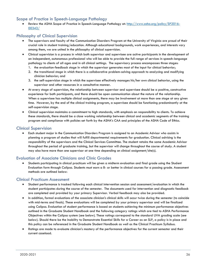# <span id="page-26-0"></span>Scope of Practice in Speech-Language Pathology

Review the ASHA Scope of Practice in Speech-Language Pathology at: [http://www.asha.org/policy/SP2016-](http://www.asha.org/policy/SP2016-00343/) [00343/](http://www.asha.org/policy/SP2016-00343/)

## <span id="page-26-1"></span>Philosophy of Clinical Supervision

- The supervisors and faculty of the Communication Disorders Program at the University of Virginia are proud of their crucial role in student training/education. Although educational backgrounds, work experiences, and interests vary among them, we are united in the philosophy of clinical supervision.
- Clinical supervision is a process in which both supervisor and supervisee are active participants in the development of an independent, autonomous professional who will be able to provide the full range of services in speech-language pathology to clients of all ages and in all clinical settings. The supervisory process encompasses three stages:
	- 1. the evaluation-feedback stage in which the supervisor generates most of the input for clinical behavior;
	- 2. the transitional stage in which there is a collaborative problem-solving approach to analyzing and modifying clinician behavior; and
	- 3. the self-supervision stage in which the supervisee effectively manages his/her own clinical behavior, using the supervisor and other resources in a consultative manner.
- At every stage of supervision, the relationship between supervisor and supervisee should be a positive, constructive experience for both participants, and there should be open communication about the nature of the relationship. When a supervisee has multiple clinical assignments, there may be involvement at more than one stage at any given time. However, by the end of the clinical training program, a supervisee should be functioning predominantly at the self-supervision stage.
- Clinical supervision maintains a commitment to high standards, with emphasis on responsibility to clients. To achieve these standards, there should be a close working relationship between clinical and academic segments of the training program and compliance with policies set forth by the ASHA's CAA and principles of the ASHA Code of Ethics.

## <span id="page-26-2"></span>Clinical Supervision

• Each student major in the Communication Disorders Program is assigned to an Academic Advisor who assists in planning a program of studies that will fulfill departmental requirements for graduation. Clinical advising is the responsibility of the supervisors and the Clinical Services Committee. The student retains the same Academic Advisor throughout the period of graduate training, but the supervisor will change throughout the course of study. A student may also have more than one supervisor at one time depending on clinical assignment/site(s).

## <span id="page-26-3"></span>Evaluation of Associate Clinicians and Clinic Grades

• Students participating in clinical practicum will be given a midterm evaluation and final grade using the Student Evaluation form through Calipso. Students must earn a B- or better in clinical courses for a passing grade. Assessment methods are outlined below:

#### <span id="page-26-4"></span>Clinical Practicum Assessment

- Student performance is tracked following each clinical intervention session and assessment/evaluation in which the student participates during the course of the semester. The documents used for intervention and diagnostic feedback are completed and provided by your primary Supervisor. Verbal feedback may also be provided.
- In addition, formal evaluations of the associate clinician's clinical skills will occur twice during the semester (to coincide with mid-terms and finals). These evaluations will be completed by your primary supervisor and will be finalized using Calipso. Evaluation of student performance is based on students achieving the minimum performance objectives outlined in the Graduate Student Handbook and the following category ratings which are tied to ASHA Performance Objectives within the Calipso system (see below). These ratings correspond to the standard UVA grading scale (see below). Should there be the Inability to Demonstrate Essential Skills for a Career as an SLP, a policy is in place and this policy can be referenced in the Graduate Student Handbook as well as the Clinical Practicum Syllabus.
- Ratings are made to evaluate clinician's mastery of the performance objectives for the current semester and their current caseload.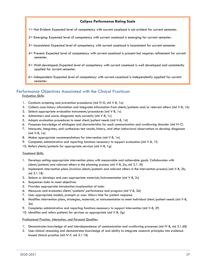#### **Calipso Performance Rating Scale**

- 1= Not Evident: Expected level of competency with current caseload is not evident for current semester.
- 2= Emerging: Expected level of competency with current caseload is emerging for current semester.
- 3= Inconsistent: Expected level of competency with current caseload is inconsistent for current semester.
- 4= Present: Expected level of competency with current caseload is present but requires refinement for current semester.
- 5= Well-developed: Expected level of competency with current caseload is well developed and consistently applied for current semester.
- 6= Independent: Expected level of competency with current caseload is independently applied for current semester.

#### <span id="page-27-0"></span>Performance Objectives Associated with the Clinical Practicum

*Evaluation Skills*:

- 1. Conducts screening and prevention procedures (std IV-D, std V-B, 1a)
- 2. Collects case history information and integrates information from clients/patients and/or relevant others (std V-B, 1b)
- 3. Selects appropriate evaluation instruments/procedures (std V-B, 1c)
- 4. Administers and scores diagnostic tests correctly (std V-B, 1c)
- 5. Adapts evaluation procedures to meet client/patient needs (std V-B, 1d)
- 6. Possesses knowledge of etiologies and characteristics for each communication and swallowing disorder (std IV-C)
- 7. Interprets, integrates, and synthesizes test results, history, and other behavioral observations to develop diagnoses (std V-B, 1e)
- 8. Makes appropriate recommendations for intervention (std V-B, 1e)
- 9. Completes administrative and reporting functions necessary to support evaluation (std V-B, 1f)
- 10. Refers clients/patients for appropriate services (std V-B, 1g)

#### *Treatment Skills:*

- 1. Develops setting-appropriate intervention plans with measurable and achievable goals. Collaborates with clients/patients and relevant others in the planning process (std V-B, 2a, std 3.1.1B)
- 2. Implements intervention plans (involves clients/patients and relevant others in the intervention process) (std V-B, 2b, std 3.1.1B)
- 3. Selects or develops and uses appropriate materials/instrumentation (std V-B, 2c)
- 4. Sequences tasks to meet objectives
- 5. Provides appropriate introduction/explanation of tasks
- 6. Measures and evaluates clients'/patients' performance and progress (std V-B, 2d)
- 7. Uses appropriate models, prompts or cues. Allows time for patient response.
- 8. Modifies intervention plans, strategies, materials, or instrumentation to meet individual client/patient needs (std V-B, 2e)
- 9. Completes administrative and reporting functions necessary to support intervention (std V-B, 2f)
- 10. Identifies and refers patients for services as appropriate (std V-B, 2g)

#### *Professional Practice, Interaction, and Personal Qualities*

- 1. Demonstrates knowledge of and interdependence of communication and swallowing processes (std IV-B, std 3.1.6B)
- 2. Uses clinical reasoning and demonstrates knowledge of and ability to integrate research principles into evidencebased clinical practice (std IV-F, std 3.1.1B)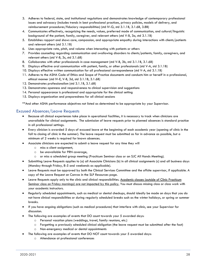- 3. Adheres to federal, state, and institutional regulations and demonstrates knowledge of contemporary professional issues and advocacy (includes trends in best professional practices, privacy policies, models of delivery, and reimbursement procedures/fiduciary responsibilities) (std IV-G, std 3.1.1B, 3.1.6B, 3.8B)
- 4. Communicates effectively, recognizing the needs, values, preferred mode of communication, and cultural/linguistic background of the patient, family, caregiver, and relevant others (std V-B, 3a, std 3.1.1B)
- 5. Establishes rapport and shows care, compassion, and appropriate empathy during interactions with clients/patients and relevant others (std 3.1.1B)
- 6. Uses appropriate rate, pitch, and volume when interacting with patients or others
- 7. Provides counseling regarding communication and swallowing disorders to clients/patients, family, caregivers, and relevant others (std V-B, 3c, std 3.1.6B)
- 8. Collaborates with other professionals in case management (std V-B, 3b, std 3.1.1B, 3.1.6B)
- 9. Displays effective oral communication with patient, family, or other professionals (std V-A, std 3.1.1B)
- 10. Displays effective written communication for all professional correspondence (std V-A, std 3.1.1B)
- 11. Adheres to the ASHA Code of Ethics and Scope of Practice documents and conducts him or herself in a professional, ethical manner (std IV-E, V-B, 3d, std 3.1.1B, 3.1.6B)
- 12. Demonstrates professionalism (std 3.1.1B, 3.1.6B)
- 13. Demonstrates openness and responsiveness to clinical supervision and suggestions
- 14. Personal appearance is professional and appropriate for the clinical setting
- 15. Displays organization and preparedness for all clinical sessions

\*\*And other ASHA performance objectives not listed as determined to be appropriate by your Supervisor.

## <span id="page-28-0"></span>Excused Absences/Leave Requests

- Because all clinical experiences take place in operational facilities, it is necessary to track when clinicians are unavailable for clinical assignments. The submission of leave requests prior to planned absences is standard practice in all professional settings.
- Every clinician is awarded 5 days of excused leave at the beginning of each academic year (opening of clinic in the fall to closing of clinic in the summer). The leave request must be submitted as far in advance as possible, but a minimum of 2 weeks is required for known absences.
- Associate clinicians are expected to submit a leave request for any time they will
	- o miss a client assignment,
	- o be unavailable for PRN coverage,
	- o or miss a scheduled group meeting (Practicum Seminar class or an SJC All Hands Meeting).
- Submitting Leave Requests applies to (a) all Associate Clinicians (b) in all clinical assignments (c) and all business days (Monday through Friday, 8-5 and weekends as applicable).
- Leave Requests must be approved by both the Clinical Services Committee and the offsite supervisor, if applicable. A copy of the Leave Request on Canvas in the SLP Resources page.
- Leave Requests apply only to the clinic and clinical responsibilities. Academic classes (outside of Clinic Practicum Seminar class on Friday mornings) are not impacted by this policy. You must discuss missing class or class work with your academic instructors.
- Regularly scheduled appointments, such as medical or dental checkups, should ideally be made on days that you do not have clinical responsibilities or during regularly scheduled breaks such as the winter holidays, or spring or summer breaks.
- If you have ongoing obligations (such as medical procedures) that interfere with clinic, see your Supervisor for discussion.
- The following are examples of events that DO count towards your 5 awarded days:
	- o Personal vacation plans (weddings, travel, family reunions, etc.)
	- o Forgetting a previously scheduled clinical obligation (the leave request must be submitted after the fact)
	- o Non-emergency medical or dental appointments
	- The following are examples of events that DO NOT count towards your 5 awarded days:
		- o Attendance at professional conferences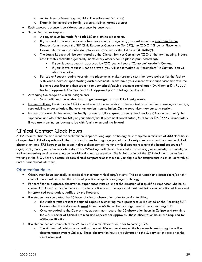- o Acute illness or injury (e.g. requiring immediate medical care)
- o Death in the immediate family (parents, siblings, grandparents)
- Each excused absence is considered on a case-by-case basis.
- Submitting Leave Requests
	- o A request must be made for **both** SJC and offsite placements.
	- o If you need to request time away from your clinical assignment, you must submit an **electronic Leave Request** form through the SLP Clinic Resources Canvas site (for SJC), the CSD Off-Grounds Placements Canvas site, or your school/adult placement coordinator (Dr. Hilton or Dr. Robey).
	- o The Leave Request will be considered by the Clinical Services Committee (CSC) at the next meeting. Please note that this committee generally meets every other week so please plan accordingly.
		- If your leave request is approved by CSC, you will see a "Complete" grade in Canvas.
		- If your leave request is not approved, you will see it marked as "Incomplete" in Canvas. You will also be emailed.
	- o For Leave Requests during your off-site placements, make sure to discuss the leave policies for the facility with your supervisor upon starting each placement. Please have your current offsite supervisor approve the leave request first and then submit it to your school/adult placement coordinator (Dr. Hilton or Dr. Robey) for final approval. You must have CSC approval prior to taking the day off.
- Arranging Coverage of Clinical Assignments
	- o Work with your Supervisor to arrange coverage for any clinical assignments.
- In case of illness, the Associate Clinician must contact the supervisor at the earliest possible time to arrange coverage, rescheduling, or cancellation. The very last option is cancellation. Only a supervisor may cancel a session.
- In case of a death in the immediate family (parents, siblings, grandparents), the Associate Clinician must notify the supervisor and Ms. Rehm for SJC, or your school/adult placement coordinator (Dr. Hilton or Dr. Robey) immediately if you are planning on leaving to be with family or attend the funeral.

# <span id="page-29-0"></span>Clinical Contact Clock Hours

ASHA requires that the applicant for certification in speech-language pathology must complete a minimum of 400 clock hours of supervised clinical experience in the practice of speech- language pathology. Twenty-five hours must be spent in clinical observation, and 375 hours must be spent in direct client contact working with clients representing the broad spectrum of ages, backgrounds, and communication disorders. "Working" with these clients entails screenings, assessments, treatments, as well as counseling sessions centering on rehabilitation and prevention. The initial portion of the 375 clock hours come from working in the SJC where we establish core clinical competencies that make you eligible for assignments in clinical externships and a final clinical internship.

## <span id="page-29-1"></span>Observation Hours

- Observation hours generally precede direct contact with clients/patients. The observation and direct client/patient contact hours must be within the scope of practice of speech-language pathology.
- For certification purposes, observation experiences must be under the direction of a qualified supervisor who holds current ASHA certification in the appropriate practice area. The applicant must maintain documentation of time spent in supervised observation, verified by the Program.
- If a student has completed the 25 hours of clinical observation prior to coming to UVA.,
	- $\circ$  the student must present the signed copies documenting the experiences as indicated on the "IncomingSLP" Canvas site. These documents **must** have the ASHA number and signature of the supervising SLP.
	- o Once uploaded to the Canvas site, students must record the 25 observation hours in Calipso and submit to the SJC Director of Clinical Training and Services for approval. These observation hours are required for ASHA certification.
- If a student has not completed the 25 hours of clinical observation prior to coming UVA,
	- o The students will obtain observation hours at UVA and must record the hours each week using the online documentation system Calipso. These observation hours are submitted to the Supervisor of record for the client observed.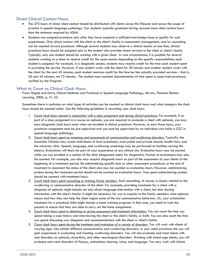## <span id="page-30-0"></span>Direct Clinical Contact Hours

- The 375 hours of direct client contact should be distributed with clients across the lifespan and across the scope of practice in speech-language pathology. Our students typically graduate having accrued more client contact hours than the minimum required by ASHA.
- Students are assigned practicum only after they have acquired a sufficient knowledge base to qualify for such experiences. Only direct contact with the client or the client's family in assessment, management, and/or counseling can be counted toward practicum. Although several students may observe a clinical session at one time, clinical practicum hours should be assigned only to the student who provides direct services to the client or client's family. Typically, only one student should be working with a given client. In rare circumstances, it is possible for several students working as a team to receive credit for the same session depending on the specific responsibilities each student is assigned. For example, in a diagnostic session, students may receive credit for the time each student spent in providing the service. However, if one student works with the client for 30 minutes and another student works with the client for the next 45 minutes, each student receives credit for the time he/she actually provided services – that is, 30 and 45 minutes, not 75 minutes. The student must maintain documentation of time spent in supervised practicum, verified by the Program.

## <span id="page-30-1"></span>What to Count as Clinical Clock Hours

From: Hegde and Davis, Clinical Methods and Practicum in Speech-Language Pathology, 4th ed.; Thomson Delmar Learning, 2005, p. 31-33.

Sometimes there is confusion on what types of activities can be counted as clinical clock hours and what category the clock hours should be counted under. Use the following guidelines in recording your clock hours.

- 1. *Count clock hours earned in conjunction with a class assignment and during clinical practicum.* For example, if as part of a class assignment in a course on aphasia, you are required to evaluate a client with aphasia, you may earn diagnostic clock hours even when not enrolled in clinical practicum. However, to earn those hours, your practicum assignment must be pre-approved and you must be supervised by an individual who holds a CCC in speech-language pathology.
- 2. *Count clock hours spent on screening and assessments of communication and swallowing disorders.* Typically, the Associate Clinician may screen individuals at local preschools, area public and private schools, health fairs, and the university clinic. Speech, language, and swallowing screenings may be performed at facilities serving the elderly. Evaluations will likely be part of your experience at any clinical site. Evaluation hours may be earned while you are enrolled in a section of the clinic designated solely for diagnostics. Formal re-evaluations may also be counted. For example, you also may acquire diagnostic hours as part of the assessment of your clients at the beginning of a treatment period. Re-administering specific tests or other assessment procedures at the end of treatment to document the status of the client also may be counted as evaluation hours. However, administering probes during the treatment period should not be counted as evaluation hours. Time spent administering probes should be counted with treatment hours.
- 3. *Count clock hours spent counseling or training family members.* Such counseling, of course, is closely related to the swallowing or communicative disorder of the client. For example, providing treatment for a client with a diagnosis of aphasia might include not only direct language intervention with a client, but also sharing information with the client's family. It might be necessary for you to explain to the family members what aphasia means and how they can help the client regain some of the lost communicative behaviors. Or, your articulation treatment for a preschool child might include a home training program. In that case, you need to train the parents to ensure that they are able to carry out the home assignments.
- 4. *Count clock hours spent in obtaining or giving assessment and treatment information.* You can count the time you spend taking a case history and interviewing the client or the client's family, or both. You can also count the time you spend discussing your diagnosis and recommendations with the client or client's family.
- 5. *Count clock hours spent during the treatment and evaluation of a variety of disorders.* You will work with clients of varying ages who exhibit different communicative and swallowing disorders. In your adult practicum site you will gain experience in evaluating and treating swallowing disorders. You will also evaluate and treat clients with such disorders as aphasia, dysarthria, and other neurological disorders. Working with school-age clients, you will evaluate and treat disorders of fluency, articulation, hearing, voice, and language. You may work with infants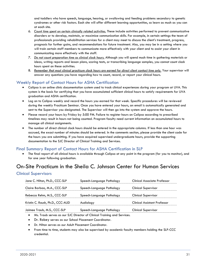and toddlers who have speech, language, hearing, or swallowing and feeding problems secondary to genetic syndromes or other risk factors. Each site will offer different learning opportunities, so learn as much as you can at each site.

- 6. *Count time spent on certain clinically related activities.* These include activities performed to prevent communicative disorders or to develop, maintain, or maximize communication skills. For example, in certain settings the team of professionals providing rehabilitation services for a client may meet to discuss the client's treatment, progress, prognosis for further gains, and recommendations for future treatment. Also, you may be in a setting where you will train certain staff members to communicate more effectively with your client and to assist your client in communicating more effectively with the staff.
- 7. *Do not count preparation time as clinical clock hours.* Although you will spend much time in gathering materials or ideas, writing reports and lesson plans, scoring tests, or transcribing language samples, you cannot count clock hours spent on these activities.
- 8. *Remember that most clinical practicum clock hours are earned for direct client contact time only.* Your supervisor will answer any questions you have regarding how to count, record, or report your clinical hours.

# <span id="page-31-0"></span>Weekly Report of Contact Hours for ASHA Certification

- Calipso is an online clinic documentation system used to track clinical experiences during your program at UVA. This system is the basis for certifying that you have accumulated sufficient clinical hours to satisfy requirements for UVA graduation and ASHA certification.
- Log on to Calipso weekly and record the hours you earned for that week. Specific procedures will be reviewed during the weekly Practicum Seminar. Once you have entered your hours, an email is automatically generated and sent to the Supervisor you designated. The Supervisor will then go into the system and approve the hours.
- Please record your hours by Friday by 5:00 PM. Failure to register hours on Calipso according to prescribed timelines may result in hours not being counted. Program faculty need current information on accumulated hours to manage all clinical assignments.
- The number of direct clinical clock hours should be entered in the appropriate columns. If less than one hour was accrued, the exact number of minutes should be entered. In the comments section, please provide the client code for the hours you are submitting. If you have acquired supervised undergraduate hours, provide the supporting documentation to the SJC Director of Clinical Training and Services.

## <span id="page-31-1"></span>Final Summary Report of Contact Hours for ASHA Certification in SLP

• The final report of all clinical hours is available through Calipso at any point in the program (for you to monitor), and for one year following graduation.

# <span id="page-31-2"></span>On-Site Practicum in the Sheila C. Johnson Center for Human Services

## <span id="page-31-3"></span>Clinical Supervisors

| Jane C. Hilton, Ph.D., CCC-SLP   | Speech-Language Pathology | <b>Clinical Associate Professor</b> |
|----------------------------------|---------------------------|-------------------------------------|
| Claire Barbao, M.A., CCC-SLP     | Speech-Language Pathology | <b>Clinical Supervisor</b>          |
| Rebecca Rehm, M.S., CCC-SLP      | Speech-Language Pathology | <b>Clinical Supervisor</b>          |
| Kristin C. Roush, Ph.D., CCC-AUD | Audiology                 | <b>Clinical Assistant Professor</b> |
| Jaimee Traub, M.S., CCC-SLP      | Speech-Language Pathology | <b>Clinical Supervisor</b>          |

- Ms. Traub serves as our SJC Director of Clinical Training and Services.
- Dr. Robey serves as our School Placement Coordinator.
- Dr. Hilton serves as our Adult Placement Coordinator.
- From time to time, students may also be supervised by academic faculty members holding the SLP-CCC credential.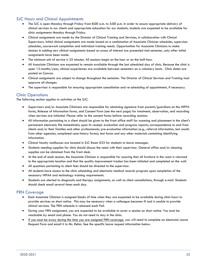## <span id="page-32-0"></span>SJC Hours and Clinical Appointments

- The SJC is open Monday through Friday from 8:00 a.m. to 5:00 p.m. In order to assure appropriate delivery of clinical services to our clients and appropriate education for our students, students are expected to be available for clinic assignments Monday through Friday.
- Clinical assignments are made by the Director of Clinical Training and Services, in collaboration with Clinical Supervisors. Initial clinical assignments are made based on a combination of Associate Clinician schedules, supervisor schedules, coursework completion and individual training needs. Opportunities for Associate Clinicians to make choices in adding new clinical assignments based on areas of interest are presented mid-semester, only after initial assignments have been made.
- The minimum unit of service is 25 minutes. All sessions begin on the hour or on the half-hour.
- All Associate Clinicians are expected to remain available through the last scheduled day of clinic. Because the clinic is open 12-months/year, clinical experiences are available between semesters on a voluntary basis. Clinic dates are posted on Canvas.
- Clinical assignments are subject to change throughout the semester. The Director of Clinical Services and Training must approve all changes.
- The supervisor is responsible for ensuring appropriate cancellation and re-scheduling of appointment, if necessary.

## <span id="page-32-1"></span>Clinic Operations

The following section applies to activities at the SJC:

- Supervisors and/or Associate Clinicians are responsible for obtaining signature from parents/guardians on the HIPPA forms, Release of Information forms, and Consent Form (see the next page) for treatment, observation, and recording when services are initiated. Please refer to the consent forms before recording sessions.
- All information pertaining to a client should be given to the front office staff for scanning and placement in the client's permanent electronic file immediately upon its receipt: evaluation and progress reports; correspondence to and from clients and/or their families and other professionals; pre-evaluation information (e.g., referral information, test results from other agencies, completed case history forms); test forms and any other materials containing identifying information.
- Clinical faculty mailboxes are located in SJC Room 033 for students to leave messages.
- Students needing supplies for clinic should discuss the need with their supervisor. General office and/or cleaning supplies can be obtained from the front desk.
- At the end of each session, the Associate Clinician is responsible for assuring that all furniture in the room is returned to the appropriate location and that the quality improvement tracker has been initialed and completed on the wall.
- All questions pertaining to client fees should be directed to the supervisor.
- All students have access to the clinic scheduling and electronic medical records program upon completion of the necessary HIPAA and technology training requirements.
- Students are alerted to diagnostic and therapy assignments, as well as client cancellations, through e-mail. Students should check email several times each day.

## <span id="page-32-2"></span>PRN Coverage

- Each Associate Clinician is assigned blocks of time when they are expected to be available during clinic hours to provide services on short notice. This may be necessary when a colleague becomes ill and is unable to provide clinical services. The PRN schedule is released each Fall.
- During your PRN assignment, you are expected to be available to cover a session on short notice. You must be reachable by email and phone. You do not need to stay in the clinic.
- <span id="page-32-3"></span>If you must be away during the time you are assigned PRN coverage, you will need to complete an electronic Leave Request Form and email it to Ms. Rehm. See the specific leave request information below.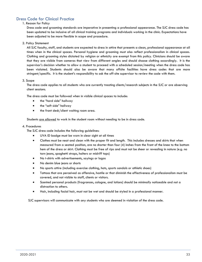# Dress Code for Clinical Practice

#### 1. Reason for Policy

Dress code and grooming standards are imperative in presenting a professional appearance. The SJC dress code has been updated to be inclusive of all clinical training programs and individuals working in the clinic. Expectations have been adjusted to be more flexible in scope and procedure.

2. Policy Statement

All SJC faculty, staff, and students are expected to dress in attire that presents a clean, professional appearance at all times when in the clinical spaces. Personal hygiene and grooming must also reflect professionalism in clinical spaces. Clothing and grooming styles dictated by religion or ethnicity are exempt from this policy. Clinicians should be aware that they are visible from cameras that view from different angles and should choose clothing accordingly. It is the supervisor's decision whether to allow a student to proceed with a scheduled session/meeting when the dress code has been violated. Students should also be aware that many offsite facilities have dress codes that are more stringent/specific. It is the student's responsibility to ask the off-site supervisor to review the code with them.

#### 3. Scope

The dress code applies to all students who are currently treating clients/research subjects in the SJC or are observing client sessions.

The dress code must be followed when in visible clinical spaces to include:

- the "hard side" hallway
- the "soft side" hallway
- the front desk/client waiting room area.

Students are allowed to work in the student room without needing to be in dress code.

#### 4. Procedures

The SJC dress code includes the following guidelines:

- UVA ID badge must be worn in clear sight at all times
- Clothes must be neat and clean with the proper fit and length. This includes dresses and skirts that when measured from a seated position, are no shorter than four (4) inches from the front of the knee to the bottom hem of the dress or skirt. Clothing must be free of rips and must not be sheer or revealing in nature (e.g. no torn jeans, spaghetti straps, halters or midriff tops)
- No t-shirts with advertisements, sayings or logos
- No denim blue jeans or shorts
- No sports attire (including exercise clothing, hats, sports sandals or athletic shoes)
- Tattoos that are perceived as offensive, hostile or that diminish the effectiveness of professionalism must be covered, and not visible to staff, clients or visitors.
- Scented personal products (fragrances, cologne, and lotions) should be minimally noticeable and not a distraction to others.
- Hair, including facial hair, must not be wet and should be styled in a professional manner.

<span id="page-33-0"></span>SJC supervisors will communicate with any students who are deemed in violation of the dress code.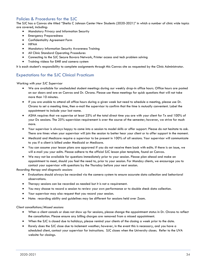# Policies & Procedures for the SJC

The SJC has a Canvas site titled "Sheila C Johnson Center New Students (2020-2021)" in which a number of clinic wide topics are covered, including:

- Mandatory Privacy and Information Security
- Emergency Preparedness
- Confidentiality Agreement Form
- HIPAA
- Mandatory Information Security Awareness Training
- All Clinic Standard Operating Procedures
- Connecting to the SJC Secure Bavaro Network, Printer access and tech problem solving
- Training videos for EMR and camera system

It is each student's responsibility to complete assignments through this Canvas site as requested by the Clinic Administrator.

# <span id="page-34-0"></span>Expectations for the SJC Clinical Practicum

*Working with your SJC Supervisor* 

- We are available for unscheduled student meetings during our weekly drop-in office hours. Office hours are posted on our doors and are on Canvas and Dr. Chrono. Please use these meetings for quick questions that will not take more than 10 minutes.
- If you are unable to attend all office hours during a given week but need to schedule a meeting, please use Dr. Chrono to set a meeting time, then e-mail the supervisor to confirm that the time is mutually convenient. Label the appointment to include your last name.
- ASHA requires that we supervise at least 25% of the total direct time you are with your client for Tx and 100% of your Dx sessions. The 25% supervision requirement is over the course of the semester; however, we strive for much more.
- Your supervisor is always happy to come into a session to model skills or offer support. Please do not hesitate to ask. There are times when your supervisor will join the session to better hear your client or to offer support in the moment.
- Medicaid and Medicare require a supervisor to be present in 100% of all sessions. Your supervisor will communicate to you if a client is billed under Medicaid or Medicare.
- You can assume your lesson plans are approved if you do not receive them back with edits. If there is an issue, we will e-mail you your edits. Please adhere to the official SJC lesson plan template, found on Canvas.
- We may not be available for questions immediately prior to your session. Please plan ahead and make an appointment to meet, should you feel the need to, prior to your session. For Monday clients, we encourage you to contact your supervisor with questions by the Thursday before your next session.

*Recording therapy and diagnostic sessions* 

- Evaluations should always be recorded via the camera system to ensure accurate data collection and behavioral observations.
- Therapy sessions can be recorded as needed but it is not a requirement.
- You may choose to record a session to review your own performance or to double check data collection.
- Your supervisor may also request that you record your session.
- Note: recording ability and guidelines may be different for sessions held over Zoom.

#### *Client cancellations/Missed sessions*

- When a client cancels or does not show up for sessions, please change the appointment status in Dr. Chrono to reflect the cancellation. Please ensure any billing charges are removed from a missed appointment.
- When the SJC is closed due to holidays, please remind your clients of the closing a week prior to the date.
- Rarely does the SJC close due to inclement weather; however, in the event this is necessary, and you have a scheduled client, contact your supervisor for instructions. SJC closes when the University closes. Refer to the UVA website for closings.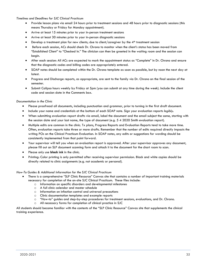*Timelines and Deadlines for SJC Clinical Practicum* 

- Provide lesson plans via email 24 hours prior to treatment sessions and 48 hours prior to diagnostic sessions (this means Thursday or Friday for Monday appointment).
- Arrive at least 15 minutes prior to your in-person treatment sessions
- Arrive at least 30 minutes prior to your in-person diagnostic sessions
- Develop a treatment plan for new clients; due to client/caregiver by the  $4<sup>th</sup>$  treatment session
- Before each session, ACs should check Dr. Chrono to monitor when the client's status has been moved from "Established Client" to "Checked In." The clinician can then be greeted in the waiting room and the session can begin.
- After each session: All ACs are expected to mark the appointment status as "Complete" in Dr. Chrono and ensure that the diagnostic codes and billing codes are appropriately entered.
- SOAP notes should be completed within the Dr. Chrono template as soon as possible, but by noon the next day at latest.
- Progress and Discharge reports, as appropriate, are sent to the family via Dr. Chrono on the final session of the semester.
- Submit Calipso hours weekly by Friday at 5pm (you can submit at any time during the week). Include the client code and session date in the Comments box.

#### *Documentation in the Clinic*

- Please proofread all documents, including punctuation and grammar, prior to turning in the first draft document.
- Include your name and credentials at the bottom of each SOAP note. Sign your evaluation reports *legibly***.**
- When submitting evaluation report drafts via email, label the document and the email subject the same, starting with the session date and your last name, the type of document (e.g. 5 4 2020 Smith evaluation report).
- Multiple edits are common in the clinic. Tx plans, Progress Reports and Evaluation Reports tend to take more time. Often, evaluation reports take three or more drafts. Remember that the number of edits required directly impacts the writing POs on the Clinical Practicum Evaluation. In SOAP notes, any edits or suggestions for wording should be consistently implemented from that point forward.
- Your supervisor will tell you when an evaluation report is approved. After your supervisor approves any document, please fill out an SLP document scanning form and attach it to the document for the chart room to scan.
- Please only use **black ink** in the clinic.
- Printing: Color printing is only permitted after receiving supervisor permission. Black and white copies should be directly related to clinic assignments (e.g. not academic or personal).

#### *How-To Guides & Additional Information for the SJC Clinical Practicum*

- There is a comprehensive "SLP Clinic Resource" Canvas site that contains a number of important training materials necessary for completion of the on-site SJC Clinical Practicum. These files include:
	- o Information on specific disorders and developmental milestones
	- o A full clinic calendar and master schedule
	- o Information on infection control and universal precautions
	- o Clinic documentation templates and example reports
	- o "How-to" guides and step-by-step procedures for treatment sessions, evaluations, and Dr. Chrono.
	- o All necessary forms for completion of clinical practice in SJC

<span id="page-35-0"></span>All students should become familiar with the contents of the "SLP Clinic Resource" Canvas site that supplements the clinical training experience.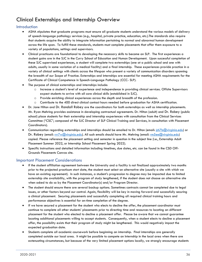# Clinical Externships and Internship Overview

## <span id="page-36-0"></span>**Introduction**

- ASHA stipulates that graduate programs must ensure all graduate students understand the various models of delivery of speech-language pathology services (e.g., hospital, private practice, education, etc.).The standards also require that students acquire the ability to integrate information pertaining to normal and abnormal human development across the life span. To fulfill these standards, students must complete placements that offer them exposure to a variety of populations, settings and supervisors.
- Clinical practicums are foundational to developing the necessary skills to become an SLP. The first experiences a student gains are in the SJC in the Curry School of Education and Human Development. Upon successful completion of these SJC supervised experiences, a student will complete two externships (one at a public school and one with adults, usually in some variation of a medical facility) and a final internship. These experiences provide practice in a variety of clinical settings with clients across the lifespan who present a variety of communication disorders spanning the breadth of our Scope of Practice. Externships and internships are essential for meeting ASHA requirements for the Certificate of Clinical Competence in Speech-Language Pathology (CCC- SLP).
- The purpose of clinical externships and internships include:
	- o Increase a student's level of experience and independence in providing clinical services. Offsite Supervisors expect students to arrive with all core clinical skills (established in SJC).
	- o Provide enriching clinical experiences across the depth and breadth of the profession.
	- o Contribute to the 400 direct clinical contact hours needed before graduation for ASHA certification.
- Dr. Jane Hilton and Dr. Randall Robey are the coordinators for both externships as well as internship placements. Mr. Ryan Mehring provides assistance in developing contractual agreements. Dr. Hilton (adult) and Dr. Robey (public school) place students for their externship and internship experiences with consultation from the Clinical Services Committee ("CSC"; composed of the SJC Director of SLP Clinical Training and Services, in consultation with Placement Coordinators).
- Communication regarding externships and internships should be emailed to Dr. Hilton (email: [jch7b@virginia.edu\)](mailto:jch7b@virginia.edu) or Dr. Robey (email: [rrr7w@virginia.edu\)](mailto:rrr7w@virginia.edu). All such emails should have Mr. Mehring (email: [rm5ee@virginia.edu\)](mailto:rm5ee@virginia.edu) copied. Please reference the placement setting and semester in question in the subject line (i.e., Externship Adult Placement Summer 2022, or Internship School Placement Spring 2022).
- Specific instructions and detailed information including timelines, due dates, etc. can be found in the CSD Off-Grounds Placements Canvas site.

## <span id="page-36-1"></span>Important Placement Considerations

- If the student affiliation agreement between the University and a facility is not finalized approximately two months prior to the projected practicum start date, the student must select an alternative site (usually a site with which we have an existing agreement). In such instances, a student's progression to degree may be impacted due to limited externship site availability, with the program of study lengthened, if the student does not choose an alternative site when asked to do so by the Placement Coordinator(s) and/or Program Director.
- The student should ensure there are several backup options. Sometimes contracts cannot be completed due to legal issues, or other factors beyond our control. Again, flexibility will be key in moving forward and successfully securing a clinical placement. Securing placements and successfully completing all required clinical training hours and performance objectives is essential for on-time completion of the degree.
- If we have secured a placement for the student who elects to decline the offer, the placement coordinator must continue to complete all other students' placements prior to directing time and resources to locating an different placement for the student who elected to decline a placement offer. Please be aware that we cannot guarantee locating additional placements willing to accept students. Consequently, when a student elects to decline a placement offer, the possibility exists that their program of study might be lengthened. This would negatively impact the expected graduation date.
- Students complete all academic coursework before beginning an internship. Final internships are generally completed outside our local area. It might be possible to compete an Internship in the local area when there are extenuating circumstances, but because of the very limited placement options locally, we strongly encourage students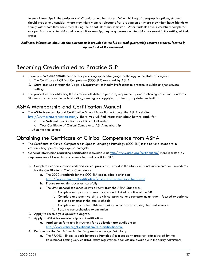to seek internships in the periphery of Virginia or in other states. When thinking of geographic options, students should proactively consider where they might want to relocate after graduation or where they might have friends or family with whom they could stay during their final internship semester. After students have successfully completed one public school externship and one adult externship, they may pursue an internship placement in the setting of their choice.

*Additional information about off-site placements is provided in the full externship/internship resource manual, located in Appendix A of this document.*

# <span id="page-37-0"></span>[Becoming Credentialed to Practice SLP](#page-37-0)

- There are **two credentials** needed for practicing speech-language pathology in the state of Virginia: 1. The Certificate of Clinical Competence (CCC-SLP) awarded by ASHA.
	- 2. State licensure through the Virginia Department of Health Professions to practice in public and/or private settings.
- The procedures for obtaining these credentials differ in purpose, requirements, and continuing education standards. Students are responsible understanding, meeting and applying for the appropriate credentials.

# <span id="page-37-1"></span>ASHA Membership and Certification Manual

- The ASHA Membership and Certification Manual is available through the ASHA website: [http://www.asha.org/certification/.](http://www.asha.org/certification/) There, you will find information about how to apply for:
	- o The National Examination your Clinical Fellowship
	- o Your Certificate of Clinical Competence ASHA membership
	- …when the time comes!

# <span id="page-37-2"></span>Obtaining the Certificate of Clinical Competence from ASHA

- The Certificate of Clinical Competence in Speech-Language Pathology (CCC-SLP) is the national standard in credentialing speech-language pathologists.
- General information regarding certification is available at [http://www.asha.org/certification/.](http://www.asha.org/certification/) Here is a step-bystep overview of becoming a credentialed and practicing SLP.
	- 1. Complete academic coursework and clinical practica as stated in the Standards and Implementation Procedures for the Certificate of Clinical Competence:
		- a. The 2020 standards for the CCC-SLP are available online at <https://www.asha.org/Certification/2020-SLP-Certification-Standards/>
		- b. Please review this document carefully.
		- c. The UVA general sequence draws directly from the ASHA Standards:
			- i. Complete and pass academic courses and clinical practica at the SJC
			- ii. Complete and pass two off-site clinical practica: one semester as an adult- focused experience and one semester in the public schools
			- iii. Complete and pass the full-time off-site clinical practica during the final semester
			- iv. Pass the comprehensive examination
	- 2. Apply to receive your graduate degree.
	- 3. Apply to ASHA for Membership and Certification:
		- a. Application form and instructions for application are available at: <http://www.asha.org/Certification/SLPCertification.htm>
	- 4. Register for the Praxis Examination in Speech-Language Pathology
		- a. The PRAXIS II Exam (speech-language Pathology) is a specialty area test administered by the Educational Testing Service (ETS). Exam registration booklets are available in the Curry Admissions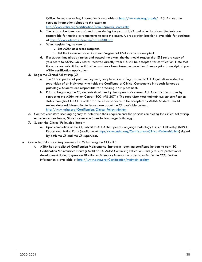Office. To register online, information is available at<http://www.ets.org/praxis/> . ASHA's website contains information related to this exam at [http://www.asha.org/certification/praxis/praxis\\_scores.htm](http://www.asha.org/certification/praxis/praxis_scores.htm)

- b. The test can be taken on assigned dates during the year at UVA and other locations. Students are responsible for making arrangements to take this exam. A preparation booklet is available for purchase at<https://www.ets.org/s/praxis/pdf/5330.pdf>
- c. When registering, be sure to:
	- i. List ASHA as a score recipient.
	- ii. List the Communication Disorders Program at UVA as a score recipient.
- d. If a student has already taken and passed the exam, she/he should request that ETS send a copy of your score to ASHA. Only scores received directly from ETS will be accepted for certification. Note that the score you submit for certification must have been taken no more than 5 years prior to receipt of your ASHA certification application.
- 5. Begin the Clinical Fellowship (CF)
	- a. The CF is a period of paid employment, completed according to specific ASHA guidelines under the supervision of an individual who holds the Certificate of Clinical Competence in speech-language pathology. Students are responsible for procuring a CF placement.
	- b. Prior to beginning the CF, students should verify the supervisor's current ASHA certification status by contacting the ASHA Action Center (800-498-2071). The supervisor must maintain current certification status throughout the CF in order for the CF experience to be accepted by ASHA. Students should review detailed information to learn more about the CF available online at <http://www.asha.org/Certification/Clinical-Fellowship.htm>
- 6. Contact your state licensing agency to determine their requirements for persons completing the clinical fellowship experience (see below, State Licensure in Speech- Language Pathology).
- 7. Submit the Clinical Fellowship Report
	- a. Upon completion of the CF, submit to ASHA the Speech-Language Pathology Clinical Fellowship (SLPCF) Report and Rating Form (available at [http://www.asha.org/Certification/Clinical-Fellowship.htm\)](http://www.asha.org/Certification/Clinical-Fellowship.htm) signed by both the CF and the CF supervisor.
- Continuing Education Requirements for Maintaining the CCC-SLP
	- o ASHA has established Certification Maintenance Standards requiring certificate holders to earn 30 Certification Maintenance Hours (CMHs) or 3.0 ASHA Continuing Education Units (CEUs) of professional development during 3-year certification maintenance intervals in order to maintain the CCC. Further information is available at<http://www.asha.org/Certification/maintain-ccc.htm>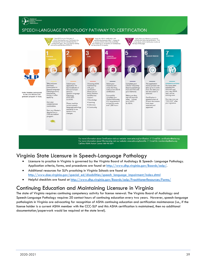# SPEECH-LANGUAGE PATHOLOGY PATHWAY TO CERTIFICATION



For more information about Certification visit our website: www.asha.org/certification // E-mail Us: certification@asha.org For more information about Membership visit our website: www.asha.org/benefits // E-mail Us: membership@asha.org Call the ASHA Action Center: 800-498-2071

# <span id="page-39-0"></span>Virginia State Licensure in Speech-Language Pathology

- Licensure to practice in Virginia is governed by the Virginia Board of Audiology & Speech- Language Pathology. Application criteria, forms, and procedures are found at [http://www.dhp.virginia.gov/Boards/aslp/.](http://www.dhp.virginia.gov/Boards/aslp/)
- Additional resources for SLPs practicing in Virginia Schools are found at [http://www.doe.virginia.gov/special\\_ed/disabilities/speech\\_language\\_impairment/index.shtml](http://www.doe.virginia.gov/special_ed/disabilities/speech_language_impairment/index.shtml)
- Helpful checklists are found at<http://www.dhp.virginia.gov/Boards/aslp/PractitionerResources/Forms/>

# <span id="page-39-1"></span>Continuing Education and Maintaining Licensure in Virginia

The state of Virginia requires continuing competency activity for license renewal. The Virginia Board of Audiology and Speech-Language Pathology requires 20 contact hours of continuing education every two years. However, speech-language pathologists in Virginia are advocating for recognition of ASHA continuing education and certification maintenance (i.e., if the license holder is a current ASHA member with the CCC-SLP and this ASHA certification is maintained, then no additional documentation/paperwork would be required at the state level).

AMERICAN<br>HEARING HEARING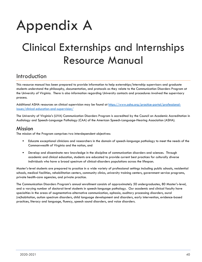# Appendix A

# Clinical Externships and Internships Resource Manual

# <span id="page-40-0"></span>Introduction

This resource manual has been prepared to provide information to help externships/internship supervisors and graduate students understand the philosophy, documentation, and protocols as they relate to the Communication Disorders Program at the University of Virginia. There is also information regarding University contacts and procedures involved the supervisory process.

Additional ASHA resources on clinical supervision may be found at [https://www.asha.org/practice-portal/professional](https://www.asha.org/practice-portal/professional-issues/clinical-education-and-supervision/)[issues/clinical-education-and-supervision/](https://www.asha.org/practice-portal/professional-issues/clinical-education-and-supervision/)

The University of Virginia's (UVA) Communication Disorders Program is accredited by the Council on Academic Accreditation in Audiology and Speech-Language Pathology (CAA) of the American Speech-Language-Hearing Association (ASHA).

# Mission

The mission of the Program comprises two interdependent objectives:

- Educate exceptional clinicians and researchers in the domain of speech-language pathology to meet the needs of the Commonwealth of Virginia and the nation, and
- Develop and disseminate new knowledge in the discipline of communication disorders and sciences. Through academic and clinical education, students are educated to provide current best practices for culturally diverse individuals who have a broad spectrum of clinical-disorders populations across the lifespan.

Master's-level students are prepared to practice in a wide variety of professional settings including public schools, residential schools, medical facilities, rehabilitation centers, community clinics, university training centers, government service programs, private health-care agencies, and private practice.

The Communication Disorders Program's annual enrollment consists of approximately 50 undergraduates, 80 Master's-level, and a varying number of doctoral-level students in speech-language pathology. Our academic and clinical faculty have specialties in the areas of augmentative-alternative communication, aphasia, auditory processing disorders, aural (re)habitation, autism spectrum disorders, child language development and disorders, early intervention, evidence-based practices, literacy and language, fluency, speech sound disorders, and voice disorders.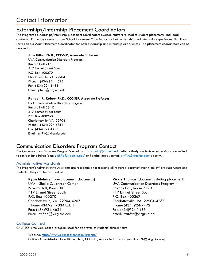# Contact Information

# Externships/Internship Placement Coordinators

The Program's externships/internship placement coordinators oversee matters related to student placements and legal contracts. Dr. Robey serves as our School Placement Coordinator for both externship and internship experiences. Dr. Hilton serves as our Adult Placement Coordinator for both externship and internship experiences. The placement coordinators can be reached at:

#### **Jane Hilton, Ph.D., CCC-SLP, Associate Professor**

UVA Communication Disorders Program Bavaro Hall 215 417 Emmet Street South P.O. Box 400270 Charlottesville, VA 22904 Phone: (434) 924-4625 Fax: (434) 924-1433 Email: jch7b@virginia.edu

#### **Randall R. Robey, Ph.D., CCC-SLP, Associate Professor**

UVA Communication Disorders Program Bavaro Hall 234 E 417 Emmet Street South P.O. Box 400260 Charlottesville, VA 22904 Phone: (434) 924-6351 Fax: (434) 924-1433 Email: rrr7w@virginia.edu

# Communication Disorders Program Contact

The Communication Disorders Program's email box is [uva-slp@virginia.edu.](mailto:uva-slp@virginia.edu) Alternatively, students or supervisors are invited to contact Jane Hilton (email: [jch7b@virginia.edu\)](mailto:jch7b@virginia.edu) or Randall Robey (email: [rrr7w@virginia.edu\)](mailto:rrr7w@virginia.edu) directly.

#### Administrative Assistants

The Program's Administrative Assistants are responsible for tracking all required documentation from off-site supervisors and students. They can be reached at:

#### **Ryan Mehring** (pre-placement documents) UVA-- Sheila C. Johnson Center Bavaro Hall, Room 001 417 Emmet Street South P.O. Box 400270 Charlottesville, VA 22904-4267 Phone: 434.924.7034 Ext. 1 Fax: (434)924-4621 Email: rm5ee@virginia.edu

**Vickie Thomas** (documents during placement) UVA Communication Disorders Program Bavaro Hall, Room 212D 417 Emmet Street South P.O. Box 400267 Charlottesville, VA 22904-4267 Phone: (434) 924-7472 Fax: (434)924-1433 email: vat3w@virginia.edu

## Calipso Contact

CALIPSO is the web-based program used for approval of students' clinical hours

Website:<https://www.calipsoclient.com/virginia/> Calipso Administrator: Jane Hilton, Ph.D., CCC-SLP, Associate Professor [email: jch7b@virginia.edu]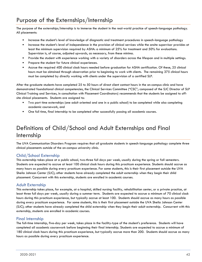# Purpose of the Externships/Internship

The purpose of the externships/internship is to immerse the student in the real-world practice of speech-language pathology. All placements:

- Increase the student's level of knowledge of diagnostic and treatment procedures in speech-language pathology
- Increase the student's level of independence in the provision of clinical services while the onsite supervisor provides at least the minimum supervision required by ASHA: a minimum of 25% for treatment and 50% for evaluations. Supervision is, of course, adjusted upwards, as necessary, from these minima.
- Provide the student with experience working with a variety of disorders across the lifespan and in multiple settings.
- Prepare the student for future clinical experiences.
- Accrue the required 400 clinical clock hours needed before graduation for ASHA certification. Of these, 25 clinical hours must be obtained through observation prior to beginning to work with clients. The remaining 375 clinical hours must be completed by directly working with clients under the supervision of a certified SLP.

After the graduate students have completed 25 to 50 hours of direct client contact hours in the on-campus clinic and have demonstrated foundational clinical competencies, the Clinical Services Committee ("CSC"; composed of the SJC Director of SLP Clinical Training and Services, in consultation with Placement Coordinators) recommends that the students be assigned to offsite clinical placements. Students are assigned to:

- Two part time externships (one adult oriented and one in a public school) to be completed while also completing academic coursework, and
- One full time, final internship to be completed after successfully passing all academic courses.

# Definitions of Child/School and Adult Externships and Final Internship

The UVA Communication Disorders Program requires that all graduate students in speech-language pathology complete three clinical placements outside of the on-campus university clinic.

## Child/School Externship

This externship takes place at a public school, two-three full days per week, usually during the spring or fall semesters. Students are expected to accrue at least 100 clinical clock hours during this practicum experience. Students should accrue as many hours as possible during every practicum experience. For some students, this is their first placement outside the UVA Sheila Johnson Center (SJC); other students have already completed the adult externship when they begin their child placement. Concurrent with this externship, students are enrolled in academic courses.

## Adult Externship

This externship takes place, for example, at a hospital, skilled nursing facility, rehabilitation center, or a private practice, at least three full days per week, usually during a summer term. Students are expected to accrue a minimum of 70 clinical clock hours during this practicum experience, but typically accrue at least 100. Students should accrue as many hours as possible during every practicum experience. For some students, this is their first placement outside the UVA Sheila Johnson Center (SJC); other students have already completed the child externship when they begin their adult externship. Concurrent with this externship, students are enrolled in academic courses.

#### Final Internship

The full-time internship, five-day per week, takes place in the facility-type of the student's preference. Students will have completed all academic coursework before beginning their final internship. Students are expected to accrue a minimum of 180 clinical clock hours during this practicum experience, but typically accrue more than 200. Students should accrue as many hours as possible during every practicum experience.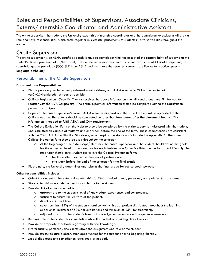# Roles and Responsibilities of Supervisors, Associate Clinicians, Externs/Internship Coordinator and Administrative Assistant

The onsite supervisor, the student, the University externships/internship coordinator and the administrative assistants all play a role and have responsibilities, which come together in successful placements of students in diverse facilities throughout the nation.

# Onsite Supervisor

The onsite supervisor is an ASHA certified speech-language pathologist who has accepted the responsibility of supervising the student's clinical practicum at his/her facility. The onsite supervisor must hold a current Certificate of Clinical Competency in speech-language pathology (CCC-SLP) from ASHA and must have the required current state license to practice speechlanguage pathology.

# Responsibilities of the Onsite Supervisor:

#### **Documentation Responsibilities**

- Please provide your full name, preferred email address, and ASHA number to Vickie Thomas (email: vat2w@virginia.edu) as soon as possible.
- Calipso Registration: Once Ms. Thomas receives the above information, she will send a one-time PIN for you to register with the UVA Calipso site. The onsite supervisor information should be completed during the registration process for Calipso.
- Copies of the onsite supervisor's current ASHA membership card and the state license must be uploaded to the Calipso website. These items should be completed no later than **two weeks after the placement begins**. This information is needed to fulfill ASHA and CAA requirements.
- The Calipso Evaluation Form on the website should be completed by the onsite supervisor, discussed with the student, and submitted on Calipso at midterm and one week before the end of the term. These competencies are consistent with the 2020 ASHA Certification Standards, an excerpt of the standards is included in Appendix B. The same Calipso Evaluation form should be used throughout the semester:
	- $\circ$  At the beginning of the externships/internship, the onsite supervisor and the student should define the goals for the expected level of performance for each Performance Objective listed on the form. Additionally, the supervisor should enter student scores into the Calipso Evaluation form:
		- for the midterm evaluation/review of performance
		- one week before the end of the semester for the final grade
- Please note, the University determines and submits the final grade for course credit purposes.

#### **Other responsibilities include:**

- Orient the student to the externships/internship facility's physical layout, personnel, and policies & procedures.
- State externships/internship expectations clearly to the student.
- Provide clinical supervision that is:
	- o appropriate to the student's level of knowledge, experience, and competence.
	- o sufficient to ensure the welfare of the patient.
	- o direct and in real time.
	- o never less than 25% of the student's total contact with each patient distributed throughout the learning experience (minimum of 50% for evaluations and minimum of 25% for treatment).
	- o adjusted upward if the student's level of knowledge, experience, and competence warrants.
- Be available to the student for consultation while the student is providing clinical services.
- Provide appropriate feedback regarding skills and knowledge.
- Inform facility, personnel, and clients about the assignment and role of the student.
- Provide structured active observation opportunities for the student prior to beginning therapy.
- Model diagnostic and remediation techniques, as needed.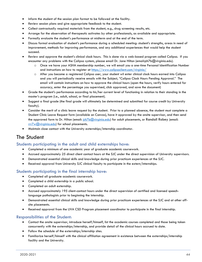- Inform the student of the session plan format to be followed at the facility.
- Review session plans and give appropriate feedback to the student.
- Collect contractually required materials from the student, e.g., drug screening results, etc.
- Arrange for the observation of therapeutic activates by other professionals, as available and appropriate.
- Formally evaluate the student's performance at midterm and at the end of the term.
- Discuss formal evaluation of student's performance during a scheduled meeting: student's strengths, areas in need of improvement, methods for improving performance, and any additional experiences that would help the student succeed.
- Review and approve the student's clinical clock hours. This is done via a web-based program called Calipso. If you encounter any problems with the Calipso system, please email Dr. Jane Hilton (email:jch7b@virginia.edu).
	- o Once we have your ASHA membership number, we will email you a one-time Personal Identification Number and instructions on how to register at<https://www.calipsoclient.com/virginia/>
	- o After you become a registered Calipso user, your student wil enter clinical clock hours earned into Calipso and you will periodically receive emails with the Subject, "Calipso Clock Hours Pending Approval." The email will contain instructions on how to approve the clinical hours (open the hours, verify hours entered for accuracy, enter the percentage you supervised, click approved, and save the document)
- Grade the student's performance according to his/her current level of functioning in relation to their standing in the master's program (i.e., adult, school, or final placement).
- Suggest a final grade (the final grade will ultimately be determined and submitted for course credit by University faculty).
- Consider the merit of a clinic leave request by the student. Prior to a planned absence, the student must complete a Student Clinic Leave Request form (available on Canvas), have it approved by the onsite supervisor, and then send the approved form to Dr. Hilton (email:  $\frac{\cosh(2\pi i)}{\cosh(2\pi i)}$  for adult placements, or Randall Robey (email: [rrr7w@virginia.edu\)](mailto:rrr7w@virginia.edu) for school placements.
- Maintain close contact with the University externships/internship coordinator.

# The Student

## Students participating in the adult and child externships have:

- Completed a minimum of one academic year of graduate academic coursework.
- Accrued approximately 25 direct client contact hours at the SJC under the direct supervision of University supervisors.
- Demonstrated essential clinical skills and knowledge during prior practicum experiences at the SJC.
- Received approval from University SJC clinical faculty to participate in the extern/internships.

## Students participating in the final internship have:

- Completed all graduate academic coursework.
- Completed a child externship in a public school.
- Completed an adult externship.
- Accrued approximately 195 client-contact hours under the direct supervision of certified and licensed speechlanguage pathologists prior to beginning the internship.
- Demonstrated essential clinical skills and knowledge during prior practicum experiences at the SJC and at other offsite placements.
- Received approval from the UVA CSD Program placement coordinator to participate in the final internship.

## Responsibilities of the Student:

- Contact the onsite supervisor, introduce herself/himself, list the academic courses completed and those being taken concurrently with the externships/internship, and provide detail of the clinical hours accrued to date.
- Follow the schedule of the externships/internship sites.
- Familiarize herself/himself with the clinical affiliation agreement in existence between the externships/internship facility and the University.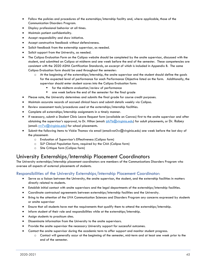- Follow the policies and procedures of the externships/internship facility and, where applicable, those of the Communication Disorders Program.
- Display professional behavior at all times.
- Maintain patient confidentiality.
- Accept responsibility and show initiative.
- Accept constructive feedback without defensiveness.
- Solicit feedback from the externship supervisor, as needed.
- Solicit support from the University, as needed.
- The Calipso Evaluation Form on the Calipso website should be completed by the onsite supervisor, discussed with the student, and submitted on Calipso at midterm and one week before the end of the semester. These competencies are consistent with the 2020 ASHA Certification Standards, an excerpt of which is included in Appendix B. The same Calipso Evaluation form should be used throughout the semester:
	- o At the beginning of the externships/internship, the onsite supervisor and the student should define the goals for the expected level of performance for each Performance Objective listed on the form. Additionally, the supervisor should enter student scores into the Calipso Evaluation form:
		- for the midterm evaluation/review of performance
		- one week before the end of the semester for the final grade
- Please note, the University determines and submits the final grade for course credit purposes.
- Maintain accurate records of accrued clinical hours and submit details weekly via Calipso.
- Review assessment tools/procedures used at the externships/internship facilities.
- Complete all externships/internship assignments in a timely manner.
- If necessary, submit a Student Clinic Leave Request form (available on Canvas) first to the onsite supervisor and after obtaining the supervisor's approval, to Dr. Hilton (email:  $\frac{1}{n}$ b $\frac{1}{n}$ virginia.edu) for adult placements, or Dr. Robey (email:  $rrr\overline{7} \times (\overline{Q}$  virginia.edu) for school placements.
- Submit the following items to Vickie Thomas via email (email:vat3w@virginia.edu) one week before the last day of the placement:
	- o Evaluation of Supervisor's Effectiveness (Calipso form)
	- o SLP Clinical Population form, required by the CAA (Calipso form)
	- o Site Critique form (Calipso form)

# University Externships/Internship Placement Coordinators

The University externships/internship placement coordinators are members of the Communications Disorders Program who oversee all aspects of external placements of students.

## Responsibilities of the University Externships/Internship Placement Coordinator:

- Serve as a liaison between the University, the onsite supervisor, the student, and the externship facilities in matters directly related to students.
- Establish initial contact with onsite supervisors and the legal departments of the externships/internship facilities.
- Coordinate contractual agreements between externships/internship facilities and the University.
- Bring to the attention of the UVA Communication Sciences and Disorders Program any concerns expressed by students or onsite supervisor
- Ensure that all students have met the requirements that qualify them to attend the externships/internship.
- Inform student of their role and responsibilities while at the externships/internship.
- Assign students to practicum sites.
- Disseminate information from the University to the onsite supervisors.
- Provide the onsite supervisor the necessary University support for successful outcomes.
- Contact the onsite supervisor during the academic term to offer support and monitor student progress.
	- o Contact will generally occur at the beginning of the semester, mid-term and at least one week prior to the end of the semester.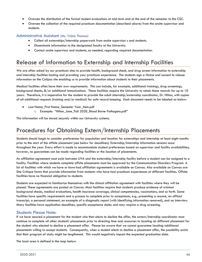- Oversee the distribution of the formal student evaluations at mid-term and at the end of the semester to the CSC.
- Oversee the collection of the required practicum documentation (described above) from the onsite supervisor and students.

#### Administrative Assistant (Ms. Vickie Thomas)

- Collect all externships/internship paperwork from onsite supervisor s and students.
- Disseminate information to the designated faculty at the University.
- Contact onsite supervisor and students, as needed, regarding required documentation.

# Release of Information to Externship and Internship Facilities

We are often asked by our practicum sites to provide health, background check, and drug screen information to externship and internship facilities hosting and providing your practicum experience. The students sign a *Notice and consent to release information* on the Calipso site enabling us to provide information about students to their placements.

Medical facilities often have their own requirements. This can include, for example, additional trainings, drug screenings, background checks, &/or additional immunizations. These facilities require the University to retain these records for up to 10 years. Therefore, it is imperative for the student to provide the adult internship/externship coordinator, Dr. Hilton, with copies of all additional requests (training and/or medical) for safe record keeping. Each document needs to be labeled as below:

- Last Name\_First Name\_Semester Year\_Item.pdf
	- o Example: "Hilton\_Jane\_Fall 2020\_Blood Borne Pathogens.pdf"

This information will be stored securely within our University systems.

# Procedures for Obtaining Extern/Internship Placements

Students should begin to consider preferences for population and location for externships and internship at least eight months prior to the start of the offsite placement (see below for deadlines). Externship/Internship information sessions occur throughout the year. Every effort is made to accommodate student preferences based on supervisor and facility availabilities; however, no guarantees can be made regarding facilities or the location of placements.

An affiliation agreement must exist between UVA and the externship/internship facility before a student can be assigned to a facility. Facilities where students complete offsite placements must be approved by the Communication Disorders Program. A list of facilities with which we have or have had affiliation agreements is available on Canvas. Also available on Canvas are Site Critique forms that provide information from students who have had practicum experiences at different facilities. Offsite facilities have no financial obligation to students.

Students are expected to familiarize themselves with the clinical affiliation agreement with facilities where they will be placed. These agreements are posted on Canvas. Most facilities require that students produce evidence of criminal background checks, medical evaluations, health insurance coverage, clinical competencies, vaccinations, and so forth. Some facilities have specific requirements and a process to complete prior to acceptance, e.g., presenting a resume, an official transcript, a personal statement, an example of a diagnostic report (with identifying information removed), and an interview. Many facilities have application deadlines, specific acceptance dates and may require a drug screening.

#### Students Please Note:

If we have secured a placement for the student who then elects to decline the offer, the extern/internship coordinator must continue to complete all other students' placements prior to directing time and resources to locating an different placement for the student who elected to decline a placement offer. Please be aware that we cannot guarantee locating additional placements willing to accept students. Consequently, when a student elects to decline a placement offer, the possibility exists that their program of study might be lengthened. This would negatively impact the expected graduation date.

The local area is defined in the map below: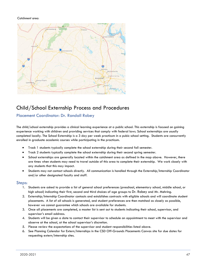#### *Catchment area:*



# Child/School Externship Process and Procedures

# Placement Coordinator: Dr. Randall Robey

The child/school externship provides a clinical learning experience at a public school. This externship is focused on gaining experience working with children and providing services that comply with federal laws. School externships are usually completed locally. The School Externship is a 3 day per week practicum in a pubic school setting. Students are concurrently enrolled in graduate academic courses while participating in the practicum.

- Track 1 students typically complete the school externship during their second fall semester.
- Track 2 students typically complete the school externship during their second spring semester.
- School externships are generally located within the catchment area as defined in the map above. However, there are times when students may need to travel outside of this area to complete their externship. We work closely with any students that this may impact.
- Students may not contact schools directly. All communication is handled through the Externship/Internship Coordinator and/or other designated faculty and staff.

#### Steps:

- 1. Students are asked to provide a list of general school preferences (preschool, elementary school, middle school, or high school) indicating their first, second and third choices of age groups to Dr. Robey and Mr. Mehring.
- 2. Externship/Internship Coordinator contacts and establishes contracts with eligible schools and will coordinate student placements. A list of all schools is generated, and student preferences are then matched as closely as possible, however we cannot guarantee which schools are available for students.
- 3. Once all placements are completed, a master list is sent out to students indicating their school, supervisor, and supervisor's email address.
- 4. Students will be given a date to contact their supervisor to schedule an appointment to meet with the supervisor and observe at the school, at the school supervisor's discretion.
- 5. Please review the expectations of the supervisor and student responsibilities listed above.
- 6. See Planning Calendar for Extern/Internships in the CSD Off-Grounds Placements Canvas site for due dates for requesting extern/internship sites.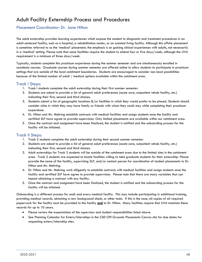# Adult Facility Externship Process and Procedures

# Placement Coordinator: Dr. Jane Hilton

The adult externship provides learning experiences which expose the student to diagnostic and treatment procedures in an adult-centered facility, such as a hospital, a rehabilitation center, or an assisted living facility. Although this offsite placement is sometime referred to as the 'medical' placement, the emphasis is on gaining clinical experiences with adults, not necessarily in a 'medical' setting. Please note that some facilities require the student to attend four or five days/week, although the UVA requirement is a minimum of three days/week.

Typically, students complete this practicum experience during the summer semester and are simultaneously enrolled in academic courses. Graduate courses during summer semester are offered online to allow students to participate in practicum settings that are outside of the local catchment boundaries. Students are encouraged to consider non-local possibilities because of the limited number of adult / medical options available within the catchment area.

## Track I Steps:

- 1. Track I students complete the adult externship during their first summer semester.
- 2. Students are asked to provide a list of general adult preferences (acute care, outpatient rehab facility, etc.) indicating their first, second and third choices.
- 3. Students submit a list of geographic locations &/or facilities in which they would prefer to be placed. Students should consider cities in which they may have family or friends with whom they could stay while completing their practicum experience.
- 4. Dr. Hilton and Mr. Mehring establish contracts with medical facilities and assign students once the facility and certified SLP have agree to provide supervision. Only limited placements are available within our catchment area.
- 5. Once the contract and assignment have been finalized, the student is notified and the onboarding process for the facility will be initiated.

## Track II Steps:

- 1. Track 2 students complete the adult externship during their second summer semester.
- 2. Students are asked to provide a list of general adult preferences (acute care, outpatient rehab facility, etc.) indicating their first, second and third choices.
- 3. Adult externships for Track 2 students will be outside of the catchment area due to the limited sites in the catchment area. Track 2 students are expected to locate facilities willing to take graduate students for their externship. Please provide the name of the facility, supervising SLP, and/or contact person for coordination of student placements to Dr. Hilton and Mr. Mehring.
- 4. Dr. Hilton and Mr. Mehring work diligently to establish contracts with medical facilities and assign students once the facility and certified SLP have agree to provide supervision. Please note that there are many variables that can impact obtaining a contract with any facility.
- 5. Once the contract and assignment have been finalized, the student is notified and the onboarding process for the facility will be initiated.

Onboarding is a different process for each and every medical facility. This may include participating in additional training, providing medical records, obtaining a new background check, or other tasks. If this is the case, all copies of all required paperwork for the facility must be provided to the facility **and** to Dr. Hilton. Many facilities require that UVA maintain these records for up to 10 years.

- Please review the expectations of the supervisor and student responsibilities listed above.
- See Planning Calendar for Extern/Internships in the CSD Off-Grounds Placements Canvas site for due dates for requesting extern/internship sites.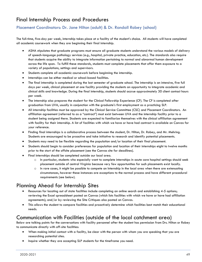# Final Internship Process and Procedures

# Placement Coordinators: Dr. Jane Hilton (adult) & Dr. Randall Robey (school)

The full-time, five-day per week, internship takes place at a facility of the student's choice. All students will have completed all academic coursework when they are beginning their final internship.

- ASHA stipulates that graduate programs must ensure all graduate students understand the various models of delivery of speech-language pathology services (e.g., hospital, private practice, education, etc.). The standards also require that students acquire the ability to integrate information pertaining to normal and abnormal human development across the life span. To fulfill these standards, students must complete placements that offer them exposure to a variety of populations, settings and supervisors.
- Students complete all academic coursework before beginning the internship.
- Internships can be either medical or school-based facilities.
- The final internship is completed during the last semester of graduate school. The internship is an intensive, five full days per week, clinical placement at one facility providing the students an opportunity to integrate academic and clinical skills and knowledge. During the final internship, students should accrue approximately 30 client contact hours per week.
- The internship also prepares the student for the Clinical Fellowship Experience (CF). The CF is completed after graduation from UVA, usually in conjunction with the graduate's first employment as a practicing SLP.
- All internship facilities must be approved by the Clinical Service Committee (CSC) and Placement Coordinators. An affiliation agreement (referred to as a "contract") must exist between UVA and the internship facility prior to a student being assigned there. Students are expected to familiarize themselves with the clinical affiliation agreement with facility for their internship. A list of facilities with which we have or have had contract is available on Canvas for your reference.
- Finding final internships is a collaborative process between the student, Dr. Hilton, Dr. Robey, and Mr. Mehring. Students are encouraged to be proactive and take initiative to research and identify potential placements.
- Students may need to be flexible regarding the population and/or location of their final placement.
- Students should begin to consider preferences for population and location of their internships eight to twelve months prior to the start of the offsite placement (see the Canvas site for deadlines).
- Final internships should be completed outside our local area.
	- o In particular, students who especially want to complete internships in acute care hospital settings should seek placement outside of central Virginia because very few opportunities for such placements exist locally.
	- $\circ$  In rare cases, it might be possible to compete an Internship in the local area when there are extenuating circumstances, however these instances are exceptions to the normal process and have different procedural requirements (see below).

# Planning Ahead for Internship Sites

- Resources for locating out of state facilities include completing an online search and establishing 4-5 options; reviewing the Excel spreadsheet posted on Canvas (which lists facilities with which we have or have had affiliation agreements); and/or by reviewing the Site Critiques also posted on Canvas.
- This allows the student to compare facilities and proactively determine which facilities best match their educational needs.

# Communication with Facilities (outside of the local catchment area)

Below are talking points for the conversations with facility personnel after the student has permission from Drs. Hilton or Robey to communicate directly with off-site facilities:

- When making initial contact with a facility, be clear with the person with whom you are speaking that you are researching potential sites.
- Inquire whether they are accepting SLP students for the timeframe you need.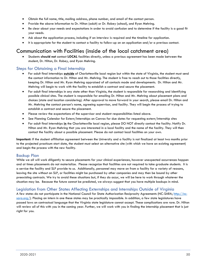- Obtain the full name, title, mailing address, phone number, and email of the contact person.
- Provide the above information to Dr. Hilton (adult) or Dr. Robey (school), and Ryan Mehring.
- Be clear about your needs and expectations in order to avoid confusion and to determine if the facility is a good fit your needs.
- Ask about the application process, including if an interview is required and the timeline for application.
- It is appropriate for the student to contact a facility to follow-up on an application and/or a previous contact.

# Communication with Facilities (inside of the local catchment area)

• Students **should not** contact **LOCAL** facilities directly, unless a previous agreement has been made between the student, Dr. Hilton, Dr. Robey, and Ryan Mehring.

## Steps for Obtaining a Final Internship

- For adult final internships **outside** of Charlottesville local region but within the state of Virginia, the student must send the contact information to Dr. Hilton and Mr. Mehring. The student is free to reach out to those facilities directly, keeping Dr. Hilton and Mr. Ryan Mehring appraised of all contacts made and developments. Dr. Hilton and Mr. Mehring will begin to work with the facility to establish a contract and secure the placement.
- For adult final internships in any state other than Virginia, the student is responsible for researching and identifying possible clinical sites. The student is responsible for emailing Dr. Hilton and Mr. Mehring about placement plans and choices (state and location considering). After approval to move forward in your search, please email Dr. Hilton and Mr. Mehring the contact person's name, agreeing supervisor, and facility. They will begin the process of trying to establish a contract and secure the placement.
- Please review the expectations of the supervisor and student responsibilities listed above.
- See Planning Calendar for Extern/Internships on Canvas for due dates for requesting extern/internship sites
- For adult final internships **in** the Charlottesville local region, please DO NOT directly contact the facility. Notify Dr. Hilton and Mr. Ryan Mehring that you are interested in a local facility and the name of the facility. They will then contact the facility about a possible placement. Please do not contact local facilities on your own.

**Important:** If the student affiliation agreement between the University and a facility is not finalized at least two months prior to the projected practicum start date, the student must select an alternative site (with which we have an existing agreement) and begin the process with the new facility.

## Backup Plan

While we all will work diligently to secure placements for your clinical experiences, however unexpected occurrences happen and at times placements do not materialize. Please recognize that facilities are not required to take graduate students. It is a service the facility and SLP provide to us. Additionally, personnel may move on from a facility for a variety of reasons, leaving the site without an SLP, or facilities might be purchased by other companies and may then be bound by other preexisting contracts. We try to avoid these situations but, if they do occur, we will be here to work through whatever the situation may be. Because the future cannot be predicted, we always suggest that you have multiple backups in mind.

## Legislation from Other States Affecting Externships and Internships Outside of Virginia

A few states do not participate in the National Council for State Authorization Reciprocity Agreements (NC-SARA[; http://nc-](http://nc-sara.org/) $\frac{\text{star} \cdot \text{star}}{\text{star}}$ ). Placing an intern in one these states may be practically impossible. In addition, a few state legislatures have passed laws on contractual language that the Virginia state legislature cannot accept. These complications are rare. Dr. Hilton will review all of this with you in the coming year. Further, we will work with you in finding the internship placement that is just right for you.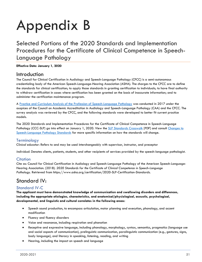# Appendix B

<span id="page-51-0"></span>Selected Portions of the 2020 Standards and Implementation Procedures for the Certificate of Clinical Competence in Speech-Language Pathology

#### **Effective Date: January 1, 2020**

# Introduction

The Council for Clinical Certification in Audiology and Speech-Language Pathology (CFCC) is a semi-autonomous credentialing body of the American Speech-Language-Hearing Association (ASHA). The charges to the CFCC are to define the standards for clinical certification; to apply those standards in granting certification to individuals; to have final authority to withdraw certification in cases where certification has been granted on the basis of inaccurate information; and to administer the certification maintenance program.

A [Practice and Curriculum Analysis of the Profession of Speech-Language Pathology](https://www.asha.org/Certification/SLP-Practice-Analysis-and-Curriculum-Study/) was conducted in 2017 under the auspices of the Council on Academic Accreditation in Audiology and Speech-Language Pathology (CAA) and the CFCC. The survey analysis was reviewed by the CFCC, and the following standards were developed to better fit current practice models.

The 2020 Standards and Implementation Procedures for the Certificate of Clinical Competence in Speech-Language Pathology (CCC-SLP) go into effect on January 1, 2020. View the [SLP Standards Crosswalk](https://www.asha.org/uploadedFiles/2014-2020-SLP-Crosswalk.pdf) [PDF] and consult [Changes to](https://www.asha.org/Certification/Certification-Standards-Change-in-2020/)  [Speech-Language Pathology Standards](https://www.asha.org/Certification/Certification-Standards-Change-in-2020/) for more specific information on how the standards will change.

## Terminology

*Clinical educator*: Refers to and may be used interchangeably with supervisor, instructor, and preceptor

*Individual*: Denotes clients, patients, students, and other recipients of services provided by the speech-language pathologist.

## **Citation**

Cite as: Council for Clinical Certification in Audiology and Speech-Language Pathology of the American Speech-Language-Hearing Association. (2018). *2020 Standards for the Certificate of Clinical Competence in Speech-Language Pathology.* Retrieved from https://www.asha.org/certification/2020-SLP-Certification-Standards.

# Standard IV:

# Standard IV-C

**The applicant must have demonstrated knowledge of communication and swallowing disorders and differences, including the appropriate etiologies, characteristics, and anatomical/physiological, acoustic, psychological, developmental, and linguistic and cultural correlates in the following areas:**

- Speech sound production, to encompass articulation, motor planning and execution, phonology, and accent modification
- Fluency and fluency disorders
- Voice and resonance, including respiration and phonation
- Receptive and expressive language, including phonology, morphology, syntax, semantics, pragmatics (language use and social aspects of communication), prelinguistic communication, paralinguistic communication (e.g., gestures, signs, body language), and literacy in speaking, listening, reading, and writing
- Hearing, including the impact on speech and language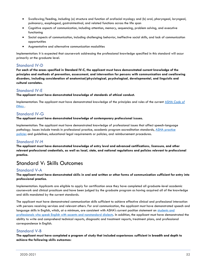- Swallowing/feeding, including (a) structure and function of orofacial myology and (b) oral, pharyngeal, laryngeal, pulmonary, esophageal, gastrointestinal, and related functions across the life span
- Cognitive aspects of communication, including attention, memory, sequencing, problem solving, and executive functioning
- Social aspects of communication, including challenging behavior, ineffective social skills, and lack of communication opportunities
- Augmentative and alternative communication modalities

Implementation: It is expected that coursework addressing the professional knowledge specified in this standard will occur primarily at the graduate level.

# Standard IV-D

**For each of the areas specified in Standard IV-C, the applicant must have demonstrated current knowledge of the principles and methods of prevention, assessment, and intervention for persons with communication and swallowing disorders, including consideration of anatomical/physiological, psychological, developmental, and linguistic and cultural correlates.**

# Standard IV-E

**The applicant must have demonstrated knowledge of standards of ethical conduct.**

Implementation: The applicant must have demonstrated knowledge of the principles and rules of the current ASHA *[Code of](https://www.asha.org/Code-of-Ethics/)  [Ethics](https://www.asha.org/Code-of-Ethics/)* .

# Standard IV-G

**The applicant must have demonstrated knowledge of contemporary professional issues.**

Implementation: The applicant must have demonstrated knowledge of professional issues that affect speech-language pathology. Issues include trends in professional practice, academic program accreditation standards, [ASHA practice](https://www.asha.org/policy/about/)  [policies](https://www.asha.org/policy/about/) and guidelines, educational legal requirements or policies, and reimbursement procedures.

## Standard IV-H

**The applicant must have demonstrated knowledge of entry level and advanced certifications, licensure, and other relevant professional credentials, as well as local, state, and national regulations and policies relevant to professional practice.**

# Standard V: Skills Outcomes

## Standard V-A

#### **The applicant must have demonstrated skills in oral and written or other forms of communication sufficient for entry into professional practice.**

Implementation: Applicants are eligible to apply for certification once they have completed all graduate-level academic coursework and clinical practicum and have been judged by the graduate program as having acquired all of the knowledge and skills mandated by the current standards.

The applicant must have demonstrated communication skills sufficient to achieve effective clinical and professional interaction with persons receiving services and relevant others. For oral communication, the applicant must have demonstrated speech and language skills in English, which, at a minimum, are consistent with ASHA's current position statement on [students and](https://www.asha.org/policy/ps1998-00117/)  [professionals who speak English with accents and nonstandard dialects.](https://www.asha.org/policy/ps1998-00117/) In addition, the applicant must have demonstrated the ability to write and comprehend technical reports, diagnostic and treatment reports, treatment plans, and professional correspondence in English.

## Standard V-B

**The applicant must have completed a program of study that included experiences sufficient in breadth and depth to achieve the following skills outcomes:**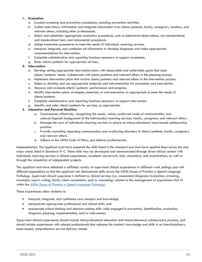#### **1. Evaluation**

- a. Conduct screening and prevention procedures, including prevention activities.
- b. Collect case history information and integrate information from clients/patients, family, caregivers, teachers, and relevant others, including other professionals.
- c. Select and administer appropriate evaluation procedures, such as behavioral observations, non-standardized and standardized tests, and instrumental procedures.
- d. Adapt evaluation procedures to meet the needs of individuals receiving services.
- e. Interpret, integrate, and synthesize all information to develop diagnoses and make appropriate recommendations for intervention.
- f. Complete administrative and reporting functions necessary to support evaluation.
- g. Refer clients/patients for appropriate services.

#### **2. Intervention**

- a. Develop setting-appropriate intervention plans with measurable and achievable goals that meet clients'/patients' needs. Collaborate with clients/patients and relevant others in the planning process.
- b. Implement intervention plans that involve clients/patients and relevant others in the intervention process.
- c. Select or develop and use appropriate materials and instrumentation for prevention and intervention.
- d. Measure and evaluate clients'/patients' performance and progress.
- e. Modify intervention plans, strategies, materials, or instrumentation as appropriate to meet the needs of clients/patients.
- f. Complete administrative and reporting functions necessary to support intervention.
- g. Identify and refer clients/patients for services, as appropriate.

#### **3. Interaction and Personal Qualities**

- a. Communicate effectively, recognizing the needs, values, preferred mode of communication, and cultural/linguistic background of the individual(s) receiving services, family, caregivers, and relevant others.
- b. Manage the care of individuals receiving services to ensure an interprofessional, team-based collaborative practice.
- c. Provide counseling regarding communication and swallowing disorders to clients/patients, family, caregivers, and relevant others.
- d. Adhere to the ASHA *Code of Ethics*, and behave professionally.

Implementation: The applicant must have acquired the skills listed in this standard and must have applied them across the nine major areas listed in Standard IV-C. These skills may be developed and demonstrated through direct clinical contact with individuals receiving services in clinical experiences, academic coursework, labs, simulations, and examinations, as well as through the completion of independent projects.

The applicant must have obtained a sufficient variety of supervised clinical experiences in different work settings and with different populations so that the applicant can demonstrate skills across the ASHA *Scope of Practice in Speech-Language Pathology*. *Supervised clinical experience* is defined as clinical services (i.e., assessment/diagnosis/evaluation, screening, treatment, report writing, family/client consultation, and/or counseling) related to the management of populations that fit within the ASHA *[Scope of Practice in Speech-Language Pathology](https://www.asha.org/policy/SP2016-00343/)* .

These experiences allow students to:

- interpret, integrate, and synthesize core concepts and knowledge;
- demonstrate appropriate professional and clinical skills; and
- incorporate critical thinking and decision-making skills while engaged in prevention, identification, evaluation, diagnosis, planning, implementation, and/or intervention.

Supervised clinical experiences should include interprofessional education and interprofessional collaborative practice, and should include experiences with related professionals that enhance the student's knowledge and skills in an interdisciplinary, team-based, comprehensive service delivery model.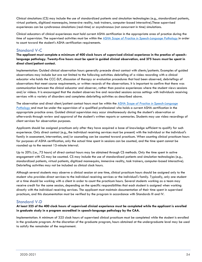Clinical simulations (CS) may include the use of standardized patients and simulation technologies (e.g., standardized patients, virtual patients, digitized mannequins, immersive reality, task trainers, computer-based interactive).These supervised experiences can be synchronous simulations (real-time) or asynchronous (not concurrent in time) simulations.

Clinical educators of clinical experiences must hold current ASHA certification in the appropriate area of practice during the time of supervision. The supervised activities must be within the ASHA *[Scope of Practice in Speech-Language Pathology](https://www.asha.org/policy/SP2016-00343/)* in order to count toward the student's ASHA certification requirements.

# Standard V-C

**The applicant must complete a minimum of 400 clock hours of supervised clinical experience in the practice of speechlanguage pathology. Twenty-five hours must be spent in guided clinical observation, and 375 hours must be spent in direct client/patient contact.**

Implementation: Guided clinical observation hours generally precede direct contact with clients/patients. Examples of guided observations may include but are not limited to the following activities: debriefing of a video recording with a clinical educator who holds the CCC-SLP, discussion of therapy or evaluation procedures that had been observed, debriefings of observations that meet course requirements, or written records of the observations. It is important to confirm that there was communication between the clinical educator and observer, rather than passive experiences where the student views sessions and/or videos. It is encouraged that the student observes live and recorded sessions across settings with individuals receiving services with a variety of disorders and completes debriefing activities as described above.

The observation and direct client/patient contact hours must be within the ASHA *[Scope of Practice in Speech-Language](https://www.asha.org/policy/SP2016-00343/)  [Pathology](https://www.asha.org/policy/SP2016-00343/)* and must be under the supervision of a qualified professional who holds a current ASHA certification in the appropriate practice area. Guided clinical supervision may occur simultaneously during the student's observation or afterwards through review and approval of the student's written reports or summaries. Students may use video recordings of client services for observation purposes.

Applicants should be assigned practicum only after they have acquired a base of knowledge sufficient to qualify for such experience. Only direct contact (e.g., the individual receiving services must be present) with the individual or the individual's family in assessment, intervention, and/or counseling can be counted toward practicum. When counting clinical practicum hours for purposes of ASHA certification, only the actual time spent in sessions can be counted, and the time spent cannot be rounded up to the nearest 15-minute interval.

Up to 20% (i.e., 75 hours) of direct contact hours may be obtained through CS methods. Only the time spent in active engagement with CS may be counted. CS may include the use of standardized patients and simulation technologies (e.g., standardized patients, virtual patients, digitized mannequins, immersive reality, task trainers, computer-based interactive). Debriefing activities may not be included as clinical clock hours.

Although several students may observe a clinical session at one time, clinical practicum hours should be assigned only to the student who provides direct services to the individual receiving services or the individual's family. Typically, only one student at a time should be working with a client in order to count the practicum hours. Several students working as a team may receive credit for the same session, depending on the specific responsibilities that each student is assigned when working directly with the individual receiving services. The applicant must maintain documentation of their time spent in supervised practicum, and this documentation must be verified by the program in accordance with Standards III and IV.

## Standard V-D

**At least 325 of the 400 clock hours of supervised clinical experience must be completed while the applicant is enrolled in graduate study in a program accredited in speech-language pathology by the CAA.**

Implementation: A minimum of 325 clock hours of supervised clinical practicum must be completed while the student is enrolled in the graduate program. At the discretion of the graduate program, hours obtained at the undergraduate level may be used to satisfy the remainder of the requirement.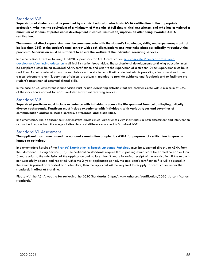# Standard V-E

**Supervision of students must be provided by a clinical educator who holds ASHA certification in the appropriate profession, who has the equivalent of a minimum of 9 months of full-time clinical experience, and who has completed a minimum of 2 hours of professional development in clinical instruction/supervision after being awarded ASHA certification.**

**The amount of direct supervision must be commensurate with the student's knowledge, skills, and experience; must not be less than 25% of the student's total contact with each client/patient; and must take place periodically throughout the practicum. Supervision must be sufficient to ensure the welfare of the individual receiving services.**

Implementation: Effective January 1, 2020, supervisors for ASHA certification [must complete 2 hours of professional](https://www.asha.org/Certification/Prof-Dev-for-2020-Certification-Standards/)  [development/continuing education](https://www.asha.org/Certification/Prof-Dev-for-2020-Certification-Standards/) in clinical instruction/supervision. The professional development/continuing education must be completed after being awarded ASHA certification and prior to the supervision of a student. Direct supervision must be in real time. A clinical educator must be available and on site to consult with a student who is providing clinical services to the clinical educator's client. Supervision of clinical practicum is intended to provide guidance and feedback and to facilitate the student's acquisition of essential clinical skills.

In the case of CS, asynchronous supervision must include debriefing activities that are commensurate with a minimum of 25% of the clock hours earned for each simulated individual receiving services.

## Standard V-F

**Supervised practicum must include experience with individuals across the life span and from culturally/linguistically diverse backgrounds. Practicum must include experience with individuals with various types and severities of communication and/or related disorders, differences, and disabilities.**

Implementation: The applicant must demonstrate direct clinical experiences with individuals in both assessment and intervention across the lifespan from the range of disorders and differences named in Standard IV-C.

### Standard VI: Assessment

**The applicant must have passed the national examination adopted by ASHA for purposes of certification in speechlanguage pathology.**

Implementation: Results of the [Praxis® Examination in Speech-Language Pathology](https://www.asha.org/Certification/praxis/About-the-Speech-Language-Pathology-Praxis-Exam/) must be submitted directly to ASHA from the Educational Testing Service (ETS). The certification standards require that a passing exam score be earned no earlier than 5 years prior to the submission of the application and no later than 2 years following receipt of the application. If the exam is not successfully passed and reported within the 2-year application period, the applicant's certification file will be closed. If the exam is passed or reported at a later date, then the applicant will be required to reapply for certification under the standards in effect at that time.

Please visit the ASHA website for reviewing the 2020 Standards: (https://www.asha.org/certification/2020-slp-certificationstandards/)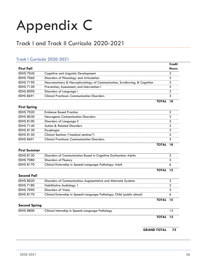# Appendix C

# <span id="page-56-0"></span>Track I and Track II Curricula 2020-2021

# Track I Curricula 2020-2021

|                  |                                                                          |              | <b>Credit</b> |
|------------------|--------------------------------------------------------------------------|--------------|---------------|
| First Fall       |                                                                          |              | <b>Hours</b>  |
| <b>EDHS 7040</b> | Cognitive and Linguistic Development                                     |              | 3             |
| <b>EDHS 7060</b> | Disorders of Phonology and Articulation                                  |              | 3             |
| <b>EDHS 7190</b> | Neuroanatomy & Neurophysiology of Communication, Swallowing, & Cognition |              | 3             |
| <b>EDHS 7120</b> | Prevention, Assessment, and Intervention I                               |              | 3             |
| <b>EDHS 8090</b> | Disorders of Language I                                                  |              | 3             |
| <b>EDHS 8691</b> | <b>Clinical Practicum: Communication Disorders</b>                       |              | 3             |
|                  |                                                                          | <b>TOTAL</b> |               |

#### **First Spring**

|                  |                                                    | TOTAL |  |
|------------------|----------------------------------------------------|-------|--|
| <b>EDHS 8691</b> | <b>Clinical Practicum: Communication Disorders</b> |       |  |
| <b>EDHS 8150</b> | Clinical Seminar ("medical seminar")               |       |  |
| <b>EDHS 8130</b> | Dysphagia                                          |       |  |
| <b>EDHS 7140</b> | <b>Autism &amp; Related Disorders</b>              |       |  |
| <b>EDHS 8100</b> | Disorders of Language II                           |       |  |
| <b>EDHS 8030</b> | <b>Neurogenic Communication Disorders</b>          |       |  |
| <b>EDHS 7020</b> | <b>Evidence Based Practice</b>                     |       |  |

#### **First Summer**

| <b>EDHS 8120</b> | Disorders of Communication Based in Cognitive Dysfunction: Adults |  |
|------------------|-------------------------------------------------------------------|--|
| <b>EDHS 7080</b> | Disorders of Fluency                                              |  |
| <b>EDHS 8170</b> | Clinical Externship in Speech-Language Pathology: Adult           |  |

**TOTAL 12**

#### **Second Fall**

| <b>EDHS 8020</b> | Disorders of Communication: Augmentative and Alternate Systems          |              |  |
|------------------|-------------------------------------------------------------------------|--------------|--|
| EDHS 7180        | Habilitative Audiology 1                                                |              |  |
| <b>EDHS 7090</b> | Disorders of Voice                                                      |              |  |
| <b>EDHS 8170</b> | Clinical Externship in Speech-Language Pathology: Child (public school) |              |  |
|                  |                                                                         | <b>TOTAL</b> |  |

#### **Second Spring**

| <b>EDHS 8800</b> | Clinical Internship in Speech-Language Pathology |      |  |
|------------------|--------------------------------------------------|------|--|
|                  |                                                  | ____ |  |

**TOTAL 12**

 **GRAND TOTAL 75**